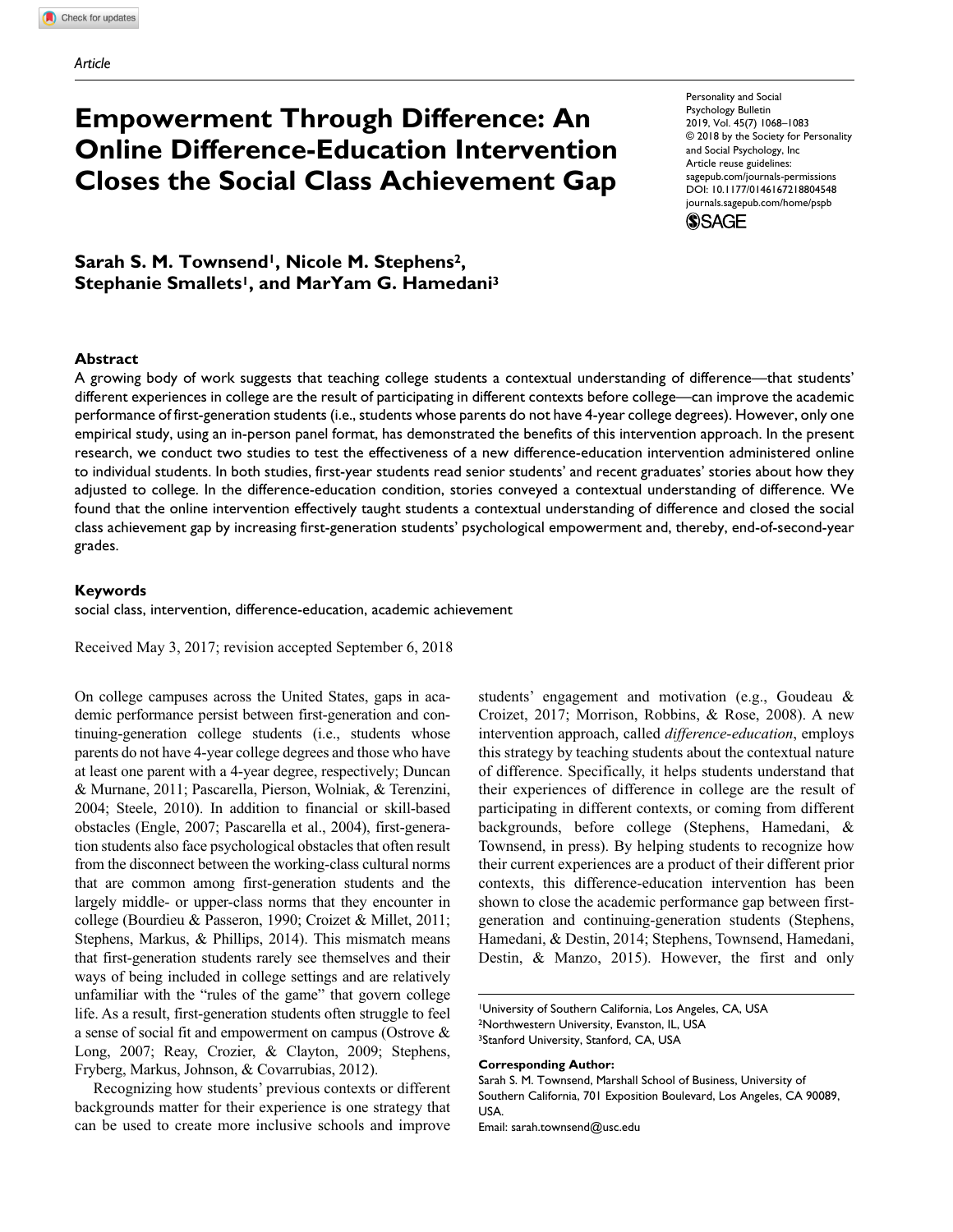# **Empowerment Through Difference: An Online Difference-Education Intervention Closes the Social Class Achievement Gap**

https://doi.org/10.1177/0146167218804548 DOI: 10.1177/0146167218804548 Personality and Social Psychology Bulletin 2019, Vol. 45(7) 1068–1083 © 2018 by the Society for Personality and Social Psychology, Inc Article reuse guidelines: [sagepub.com/journals-permissions](https://us.sagepub.com/en-us/journals-permissions) [journals.sagepub.com/home/pspb](http://journals.sagepub.com/home/pspb)



Sarah S. M. Townsend<sup>1</sup>, Nicole M. Stephens<sup>2</sup>, **Stephanie Smallets1, and MarYam G. Hamedani3**

#### **Abstract**

A growing body of work suggests that teaching college students a contextual understanding of difference—that students' different experiences in college are the result of participating in different contexts before college—can improve the academic performance of first-generation students (i.e., students whose parents do not have 4-year college degrees). However, only one empirical study, using an in-person panel format, has demonstrated the benefits of this intervention approach. In the present research, we conduct two studies to test the effectiveness of a new difference-education intervention administered online to individual students. In both studies, first-year students read senior students' and recent graduates' stories about how they adjusted to college. In the difference-education condition, stories conveyed a contextual understanding of difference. We found that the online intervention effectively taught students a contextual understanding of difference and closed the social class achievement gap by increasing first-generation students' psychological empowerment and, thereby, end-of-second-year grades.

#### **Keywords**

social class, intervention, difference-education, academic achievement

Received May 3, 2017; revision accepted September 6, 2018

On college campuses across the United States, gaps in academic performance persist between first-generation and continuing-generation college students (i.e., students whose parents do not have 4-year college degrees and those who have at least one parent with a 4-year degree, respectively; Duncan & Murnane, 2011; Pascarella, Pierson, Wolniak, & Terenzini, 2004; Steele, 2010). In addition to financial or skill-based obstacles (Engle, 2007; Pascarella et al., 2004), first-generation students also face psychological obstacles that often result from the disconnect between the working-class cultural norms that are common among first-generation students and the largely middle- or upper-class norms that they encounter in college (Bourdieu & Passeron, 1990; Croizet & Millet, 2011; Stephens, Markus, & Phillips, 2014). This mismatch means that first-generation students rarely see themselves and their ways of being included in college settings and are relatively unfamiliar with the "rules of the game" that govern college life. As a result, first-generation students often struggle to feel a sense of social fit and empowerment on campus (Ostrove & Long, 2007; Reay, Crozier, & Clayton, 2009; Stephens, Fryberg, Markus, Johnson, & Covarrubias, 2012).

Recognizing how students' previous contexts or different backgrounds matter for their experience is one strategy that can be used to create more inclusive schools and improve

students' engagement and motivation (e.g., Goudeau & Croizet, 2017; Morrison, Robbins, & Rose, 2008). A new intervention approach, called *difference-education*, employs this strategy by teaching students about the contextual nature of difference. Specifically, it helps students understand that their experiences of difference in college are the result of participating in different contexts, or coming from different backgrounds, before college (Stephens, Hamedani, & Townsend, in press). By helping students to recognize how their current experiences are a product of their different prior contexts, this difference-education intervention has been shown to close the academic performance gap between firstgeneration and continuing-generation students (Stephens, Hamedani, & Destin, 2014; Stephens, Townsend, Hamedani, Destin, & Manzo, 2015). However, the first and only

#### **Corresponding Author:**

Sarah S. M. Townsend, Marshall School of Business, University of Southern California, 701 Exposition Boulevard, Los Angeles, CA 90089, **USA** 

Email: [sarah.townsend@usc.edu](mailto:sarah.townsend@usc.edu)

<sup>1</sup>University of Southern California, Los Angeles, CA, USA 2Northwestern University, Evanston, IL, USA 3Stanford University, Stanford, CA, USA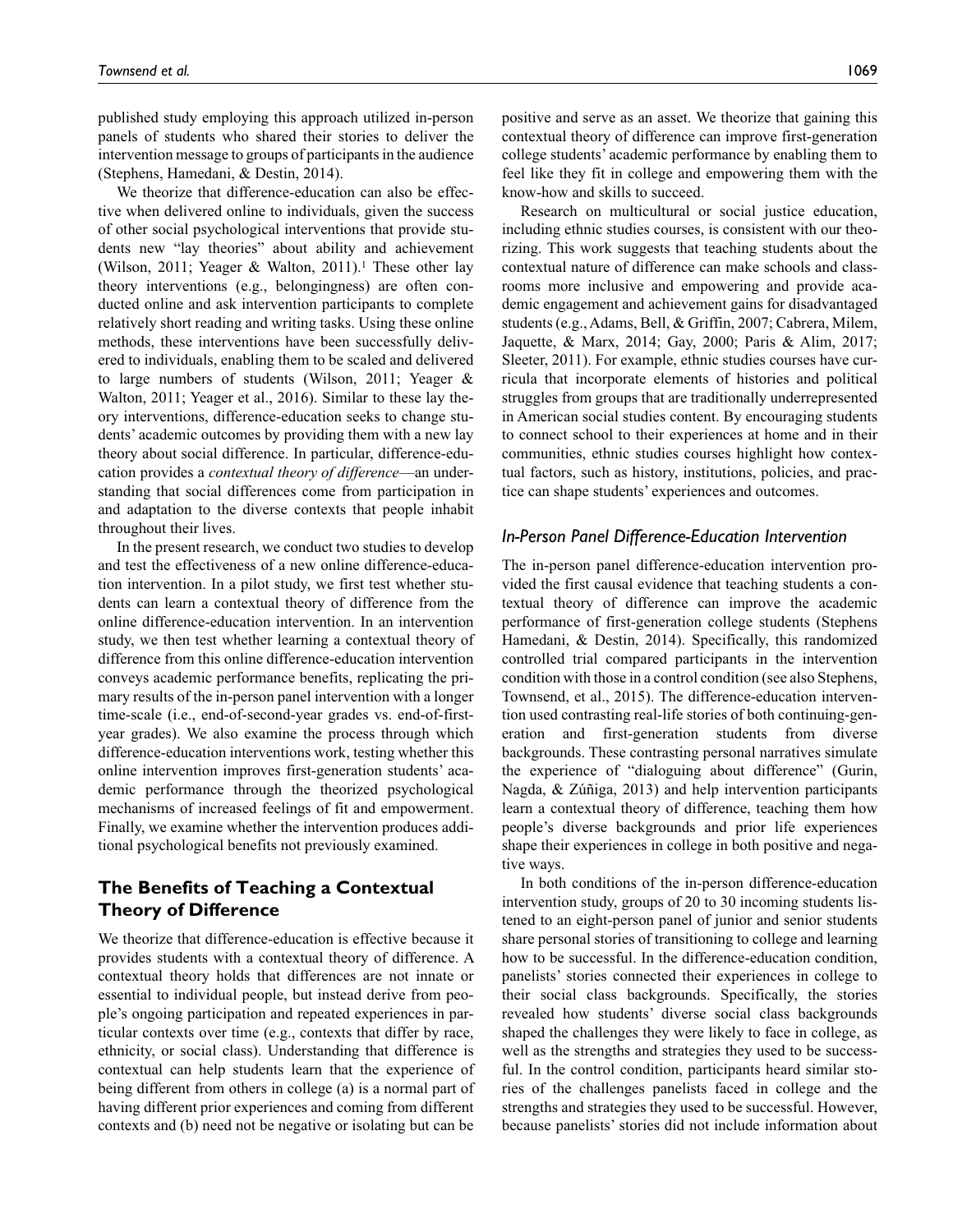published study employing this approach utilized in-person panels of students who shared their stories to deliver the intervention message to groups of participants in the audience (Stephens, Hamedani, & Destin, 2014).

We theorize that difference-education can also be effective when delivered online to individuals, given the success of other social psychological interventions that provide students new "lay theories" about ability and achievement (Wilson, 2011; Yeager & Walton, 2011).<sup>1</sup> These other lay theory interventions (e.g., belongingness) are often conducted online and ask intervention participants to complete relatively short reading and writing tasks. Using these online methods, these interventions have been successfully delivered to individuals, enabling them to be scaled and delivered to large numbers of students (Wilson, 2011; Yeager & Walton, 2011; Yeager et al., 2016). Similar to these lay theory interventions, difference-education seeks to change students' academic outcomes by providing them with a new lay theory about social difference. In particular, difference-education provides a *contextual theory of difference*—an understanding that social differences come from participation in and adaptation to the diverse contexts that people inhabit throughout their lives.

In the present research, we conduct two studies to develop and test the effectiveness of a new online difference-education intervention. In a pilot study, we first test whether students can learn a contextual theory of difference from the online difference-education intervention. In an intervention study, we then test whether learning a contextual theory of difference from this online difference-education intervention conveys academic performance benefits, replicating the primary results of the in-person panel intervention with a longer time-scale (i.e., end-of-second-year grades vs. end-of-firstyear grades). We also examine the process through which difference-education interventions work, testing whether this online intervention improves first-generation students' academic performance through the theorized psychological mechanisms of increased feelings of fit and empowerment. Finally, we examine whether the intervention produces additional psychological benefits not previously examined.

# **The Benefits of Teaching a Contextual Theory of Difference**

We theorize that difference-education is effective because it provides students with a contextual theory of difference. A contextual theory holds that differences are not innate or essential to individual people, but instead derive from people's ongoing participation and repeated experiences in particular contexts over time (e.g., contexts that differ by race, ethnicity, or social class). Understanding that difference is contextual can help students learn that the experience of being different from others in college (a) is a normal part of having different prior experiences and coming from different contexts and (b) need not be negative or isolating but can be

positive and serve as an asset. We theorize that gaining this contextual theory of difference can improve first-generation college students' academic performance by enabling them to feel like they fit in college and empowering them with the know-how and skills to succeed.

Research on multicultural or social justice education, including ethnic studies courses, is consistent with our theorizing. This work suggests that teaching students about the contextual nature of difference can make schools and classrooms more inclusive and empowering and provide academic engagement and achievement gains for disadvantaged students (e.g., Adams, Bell, & Griffin, 2007; Cabrera, Milem, Jaquette, & Marx, 2014; Gay, 2000; Paris & Alim, 2017; Sleeter, 2011). For example, ethnic studies courses have curricula that incorporate elements of histories and political struggles from groups that are traditionally underrepresented in American social studies content. By encouraging students to connect school to their experiences at home and in their communities, ethnic studies courses highlight how contextual factors, such as history, institutions, policies, and practice can shape students' experiences and outcomes.

## *In-Person Panel Difference-Education Intervention*

The in-person panel difference-education intervention provided the first causal evidence that teaching students a contextual theory of difference can improve the academic performance of first-generation college students (Stephens Hamedani, & Destin, 2014). Specifically, this randomized controlled trial compared participants in the intervention condition with those in a control condition (see also Stephens, Townsend, et al., 2015). The difference-education intervention used contrasting real-life stories of both continuing-generation and first-generation students from diverse backgrounds. These contrasting personal narratives simulate the experience of "dialoguing about difference" (Gurin, Nagda, & Zúñiga, 2013) and help intervention participants learn a contextual theory of difference, teaching them how people's diverse backgrounds and prior life experiences shape their experiences in college in both positive and negative ways.

In both conditions of the in-person difference-education intervention study, groups of 20 to 30 incoming students listened to an eight-person panel of junior and senior students share personal stories of transitioning to college and learning how to be successful. In the difference-education condition, panelists' stories connected their experiences in college to their social class backgrounds. Specifically, the stories revealed how students' diverse social class backgrounds shaped the challenges they were likely to face in college, as well as the strengths and strategies they used to be successful. In the control condition, participants heard similar stories of the challenges panelists faced in college and the strengths and strategies they used to be successful. However, because panelists' stories did not include information about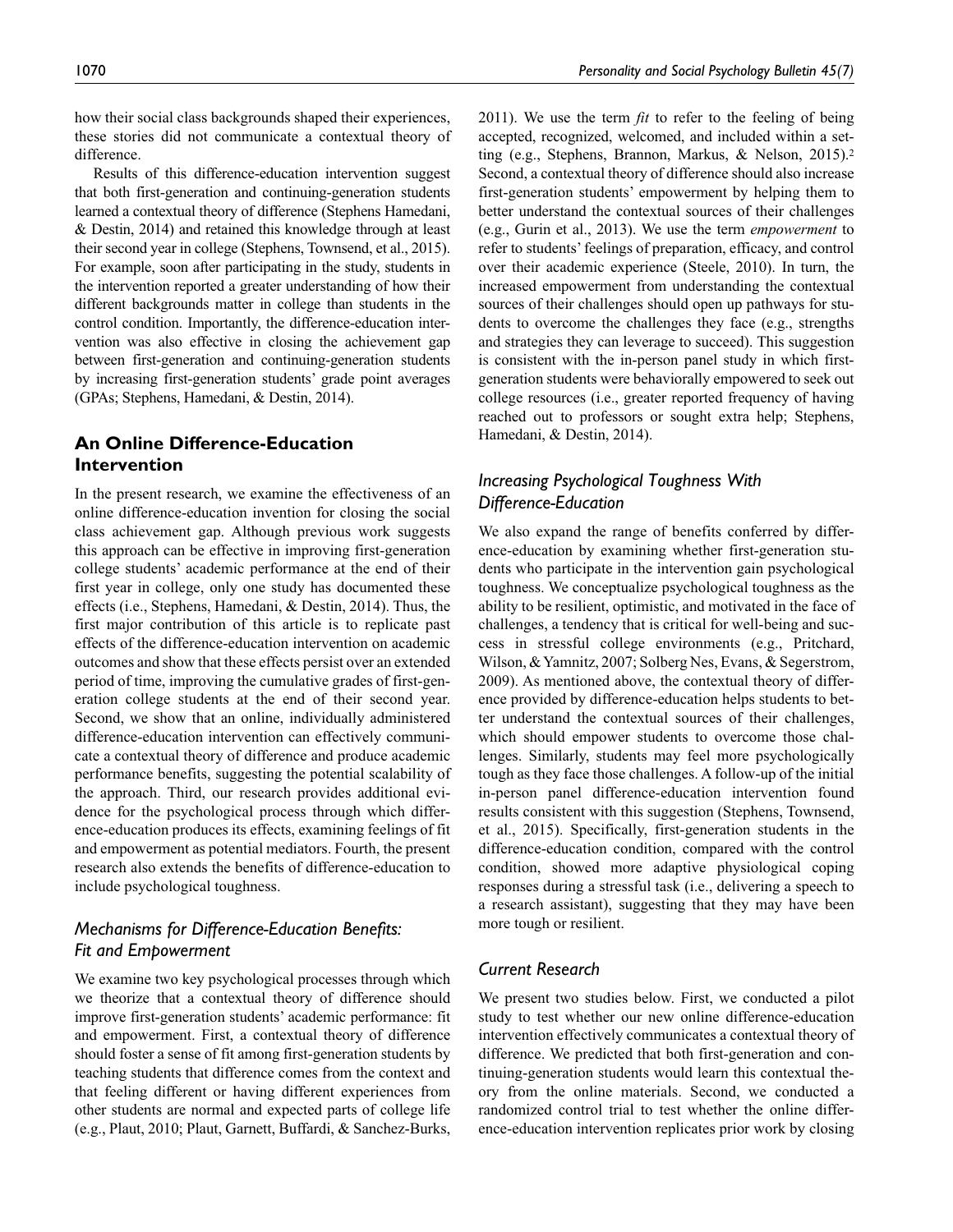how their social class backgrounds shaped their experiences, these stories did not communicate a contextual theory of difference.

Results of this difference-education intervention suggest that both first-generation and continuing-generation students learned a contextual theory of difference (Stephens Hamedani, & Destin, 2014) and retained this knowledge through at least their second year in college (Stephens, Townsend, et al., 2015). For example, soon after participating in the study, students in the intervention reported a greater understanding of how their different backgrounds matter in college than students in the control condition. Importantly, the difference-education intervention was also effective in closing the achievement gap between first-generation and continuing-generation students by increasing first-generation students' grade point averages (GPAs; Stephens, Hamedani, & Destin, 2014).

# **An Online Difference-Education Intervention**

In the present research, we examine the effectiveness of an online difference-education invention for closing the social class achievement gap. Although previous work suggests this approach can be effective in improving first-generation college students' academic performance at the end of their first year in college, only one study has documented these effects (i.e., Stephens, Hamedani, & Destin, 2014). Thus, the first major contribution of this article is to replicate past effects of the difference-education intervention on academic outcomes and show that these effects persist over an extended period of time, improving the cumulative grades of first-generation college students at the end of their second year. Second, we show that an online, individually administered difference-education intervention can effectively communicate a contextual theory of difference and produce academic performance benefits, suggesting the potential scalability of the approach. Third, our research provides additional evidence for the psychological process through which difference-education produces its effects, examining feelings of fit and empowerment as potential mediators. Fourth, the present research also extends the benefits of difference-education to include psychological toughness.

# *Mechanisms for Difference-Education Benefits: Fit and Empowerment*

We examine two key psychological processes through which we theorize that a contextual theory of difference should improve first-generation students' academic performance: fit and empowerment. First, a contextual theory of difference should foster a sense of fit among first-generation students by teaching students that difference comes from the context and that feeling different or having different experiences from other students are normal and expected parts of college life (e.g., Plaut, 2010; Plaut, Garnett, Buffardi, & Sanchez-Burks,

2011). We use the term *fit* to refer to the feeling of being accepted, recognized, welcomed, and included within a setting (e.g., Stephens, Brannon, Markus, & Nelson, 2015).2 Second, a contextual theory of difference should also increase first-generation students' empowerment by helping them to better understand the contextual sources of their challenges (e.g., Gurin et al., 2013). We use the term *empowerment* to refer to students' feelings of preparation, efficacy, and control over their academic experience (Steele, 2010). In turn, the increased empowerment from understanding the contextual sources of their challenges should open up pathways for students to overcome the challenges they face (e.g., strengths and strategies they can leverage to succeed). This suggestion is consistent with the in-person panel study in which firstgeneration students were behaviorally empowered to seek out college resources (i.e., greater reported frequency of having reached out to professors or sought extra help; Stephens, Hamedani, & Destin, 2014).

# *Increasing Psychological Toughness With Difference-Education*

We also expand the range of benefits conferred by difference-education by examining whether first-generation students who participate in the intervention gain psychological toughness. We conceptualize psychological toughness as the ability to be resilient, optimistic, and motivated in the face of challenges, a tendency that is critical for well-being and success in stressful college environments (e.g., Pritchard, Wilson, & Yamnitz, 2007; Solberg Nes, Evans, & Segerstrom, 2009). As mentioned above, the contextual theory of difference provided by difference-education helps students to better understand the contextual sources of their challenges, which should empower students to overcome those challenges. Similarly, students may feel more psychologically tough as they face those challenges. A follow-up of the initial in-person panel difference-education intervention found results consistent with this suggestion (Stephens, Townsend, et al., 2015). Specifically, first-generation students in the difference-education condition, compared with the control condition, showed more adaptive physiological coping responses during a stressful task (i.e., delivering a speech to a research assistant), suggesting that they may have been more tough or resilient.

## *Current Research*

We present two studies below. First, we conducted a pilot study to test whether our new online difference-education intervention effectively communicates a contextual theory of difference. We predicted that both first-generation and continuing-generation students would learn this contextual theory from the online materials. Second, we conducted a randomized control trial to test whether the online difference-education intervention replicates prior work by closing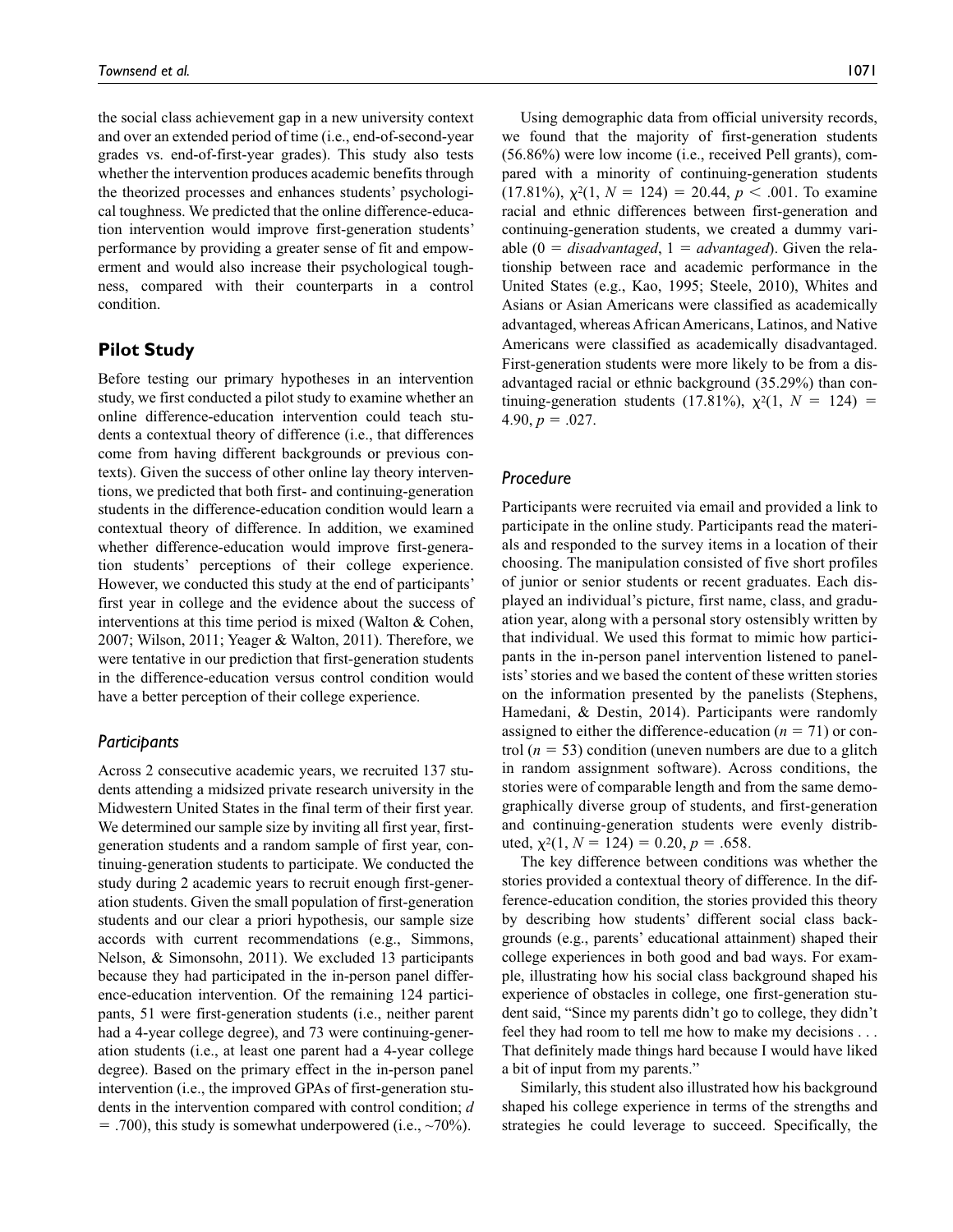the social class achievement gap in a new university context and over an extended period of time (i.e., end-of-second-year grades vs. end-of-first-year grades). This study also tests whether the intervention produces academic benefits through the theorized processes and enhances students' psychological toughness. We predicted that the online difference-education intervention would improve first-generation students' performance by providing a greater sense of fit and empowerment and would also increase their psychological toughness, compared with their counterparts in a control condition.

## **Pilot Study**

Before testing our primary hypotheses in an intervention study, we first conducted a pilot study to examine whether an online difference-education intervention could teach students a contextual theory of difference (i.e., that differences come from having different backgrounds or previous contexts). Given the success of other online lay theory interventions, we predicted that both first- and continuing-generation students in the difference-education condition would learn a contextual theory of difference. In addition, we examined whether difference-education would improve first-generation students' perceptions of their college experience. However, we conducted this study at the end of participants' first year in college and the evidence about the success of interventions at this time period is mixed (Walton & Cohen, 2007; Wilson, 2011; Yeager & Walton, 2011). Therefore, we were tentative in our prediction that first-generation students in the difference-education versus control condition would have a better perception of their college experience.

#### *Participants*

Across 2 consecutive academic years, we recruited 137 students attending a midsized private research university in the Midwestern United States in the final term of their first year. We determined our sample size by inviting all first year, firstgeneration students and a random sample of first year, continuing-generation students to participate. We conducted the study during 2 academic years to recruit enough first-generation students. Given the small population of first-generation students and our clear a priori hypothesis, our sample size accords with current recommendations (e.g., Simmons, Nelson, & Simonsohn, 2011). We excluded 13 participants because they had participated in the in-person panel difference-education intervention. Of the remaining 124 participants, 51 were first-generation students (i.e., neither parent had a 4-year college degree), and 73 were continuing-generation students (i.e., at least one parent had a 4-year college degree). Based on the primary effect in the in-person panel intervention (i.e., the improved GPAs of first-generation students in the intervention compared with control condition; *d*  $=$  .700), this study is somewhat underpowered (i.e.,  $\sim$ 70%).

Using demographic data from official university records, we found that the majority of first-generation students (56.86%) were low income (i.e., received Pell grants), compared with a minority of continuing-generation students  $(17.81\%)$ ,  $\chi^2(1, N = 124) = 20.44$ ,  $p < .001$ . To examine racial and ethnic differences between first-generation and continuing-generation students, we created a dummy variable (0 = *disadvantaged*, 1 = *advantaged*). Given the relationship between race and academic performance in the United States (e.g., Kao, 1995; Steele, 2010), Whites and Asians or Asian Americans were classified as academically advantaged, whereas African Americans, Latinos, and Native Americans were classified as academically disadvantaged. First-generation students were more likely to be from a disadvantaged racial or ethnic background (35.29%) than continuing-generation students (17.81%),  $\chi^2(1, N = 124)$  $4.90, p = .027.$ 

## *Procedure*

Participants were recruited via email and provided a link to participate in the online study. Participants read the materials and responded to the survey items in a location of their choosing. The manipulation consisted of five short profiles of junior or senior students or recent graduates. Each displayed an individual's picture, first name, class, and graduation year, along with a personal story ostensibly written by that individual. We used this format to mimic how participants in the in-person panel intervention listened to panelists' stories and we based the content of these written stories on the information presented by the panelists (Stephens, Hamedani, & Destin, 2014). Participants were randomly assigned to either the difference-education  $(n = 71)$  or control  $(n = 53)$  condition (uneven numbers are due to a glitch in random assignment software). Across conditions, the stories were of comparable length and from the same demographically diverse group of students, and first-generation and continuing-generation students were evenly distributed,  $\chi^2(1, N = 124) = 0.20, p = .658$ .

The key difference between conditions was whether the stories provided a contextual theory of difference. In the difference-education condition, the stories provided this theory by describing how students' different social class backgrounds (e.g., parents' educational attainment) shaped their college experiences in both good and bad ways. For example, illustrating how his social class background shaped his experience of obstacles in college, one first-generation student said, "Since my parents didn't go to college, they didn't feel they had room to tell me how to make my decisions . . . That definitely made things hard because I would have liked a bit of input from my parents."

Similarly, this student also illustrated how his background shaped his college experience in terms of the strengths and strategies he could leverage to succeed. Specifically, the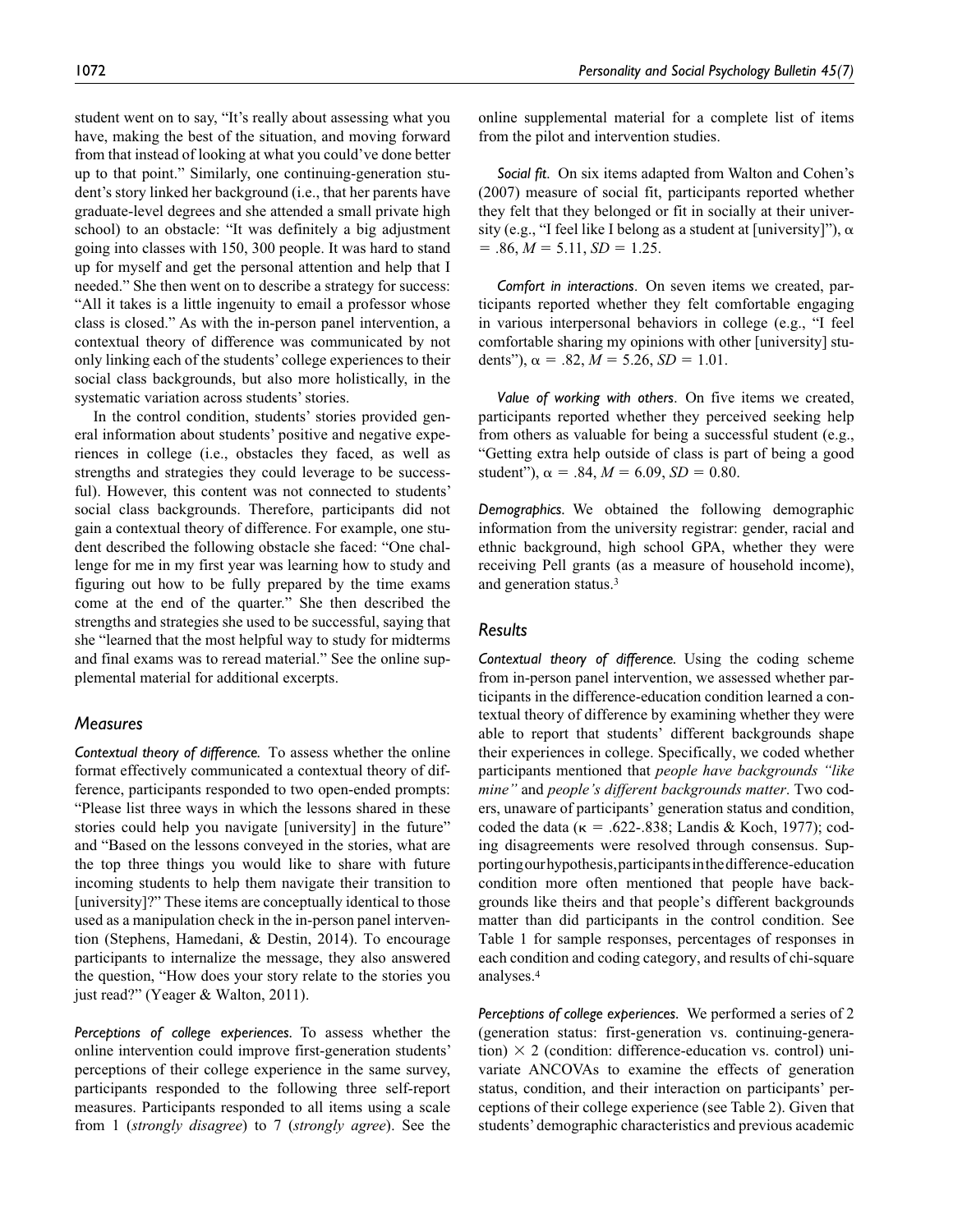student went on to say, "It's really about assessing what you have, making the best of the situation, and moving forward from that instead of looking at what you could've done better up to that point." Similarly, one continuing-generation student's story linked her background (i.e., that her parents have graduate-level degrees and she attended a small private high school) to an obstacle: "It was definitely a big adjustment going into classes with 150, 300 people. It was hard to stand up for myself and get the personal attention and help that I needed." She then went on to describe a strategy for success: "All it takes is a little ingenuity to email a professor whose class is closed." As with the in-person panel intervention, a contextual theory of difference was communicated by not only linking each of the students' college experiences to their social class backgrounds, but also more holistically, in the systematic variation across students' stories.

In the control condition, students' stories provided general information about students' positive and negative experiences in college (i.e., obstacles they faced, as well as strengths and strategies they could leverage to be successful). However, this content was not connected to students' social class backgrounds. Therefore, participants did not gain a contextual theory of difference. For example, one student described the following obstacle she faced: "One challenge for me in my first year was learning how to study and figuring out how to be fully prepared by the time exams come at the end of the quarter." She then described the strengths and strategies she used to be successful, saying that she "learned that the most helpful way to study for midterms and final exams was to reread material." See the online supplemental material for additional excerpts.

## *Measures*

*Contextual theory of difference.* To assess whether the online format effectively communicated a contextual theory of difference, participants responded to two open-ended prompts: "Please list three ways in which the lessons shared in these stories could help you navigate [university] in the future" and "Based on the lessons conveyed in the stories, what are the top three things you would like to share with future incoming students to help them navigate their transition to [university]?" These items are conceptually identical to those used as a manipulation check in the in-person panel intervention (Stephens, Hamedani, & Destin, 2014). To encourage participants to internalize the message, they also answered the question, "How does your story relate to the stories you just read?" (Yeager & Walton, 2011).

*Perceptions of college experiences.* To assess whether the online intervention could improve first-generation students' perceptions of their college experience in the same survey, participants responded to the following three self-report measures. Participants responded to all items using a scale from 1 (*strongly disagree*) to 7 (*strongly agree*). See the

online supplemental material for a complete list of items from the pilot and intervention studies.

*Social fit*. On six items adapted from Walton and Cohen's (2007) measure of social fit, participants reported whether they felt that they belonged or fit in socially at their university (e.g., "I feel like I belong as a student at [university]"),  $\alpha$  $= .86, M = 5.11, SD = 1.25.$ 

*Comfort in interactions*. On seven items we created, participants reported whether they felt comfortable engaging in various interpersonal behaviors in college (e.g., "I feel comfortable sharing my opinions with other [university] students"),  $\alpha = .82, M = 5.26, SD = 1.01$ .

*Value of working with others*. On five items we created, participants reported whether they perceived seeking help from others as valuable for being a successful student (e.g., "Getting extra help outside of class is part of being a good student"),  $\alpha = .84$ ,  $M = 6.09$ ,  $SD = 0.80$ .

*Demographics.* We obtained the following demographic information from the university registrar: gender, racial and ethnic background, high school GPA, whether they were receiving Pell grants (as a measure of household income), and generation status.3

#### *Results*

*Contextual theory of difference.* Using the coding scheme from in-person panel intervention, we assessed whether participants in the difference-education condition learned a contextual theory of difference by examining whether they were able to report that students' different backgrounds shape their experiences in college. Specifically, we coded whether participants mentioned that *people have backgrounds "like mine"* and *people's different backgrounds matter*. Two coders, unaware of participants' generation status and condition, coded the data ( $\kappa = .622-.838$ ; Landis & Koch, 1977); coding disagreements were resolved through consensus. Supporting our hypothesis, participants in the difference-education condition more often mentioned that people have backgrounds like theirs and that people's different backgrounds matter than did participants in the control condition. See Table 1 for sample responses, percentages of responses in each condition and coding category, and results of chi-square analyses.4

*Perceptions of college experiences.* We performed a series of 2 (generation status: first-generation vs. continuing-generation)  $\times$  2 (condition: difference-education vs. control) univariate ANCOVAs to examine the effects of generation status, condition, and their interaction on participants' perceptions of their college experience (see Table 2). Given that students' demographic characteristics and previous academic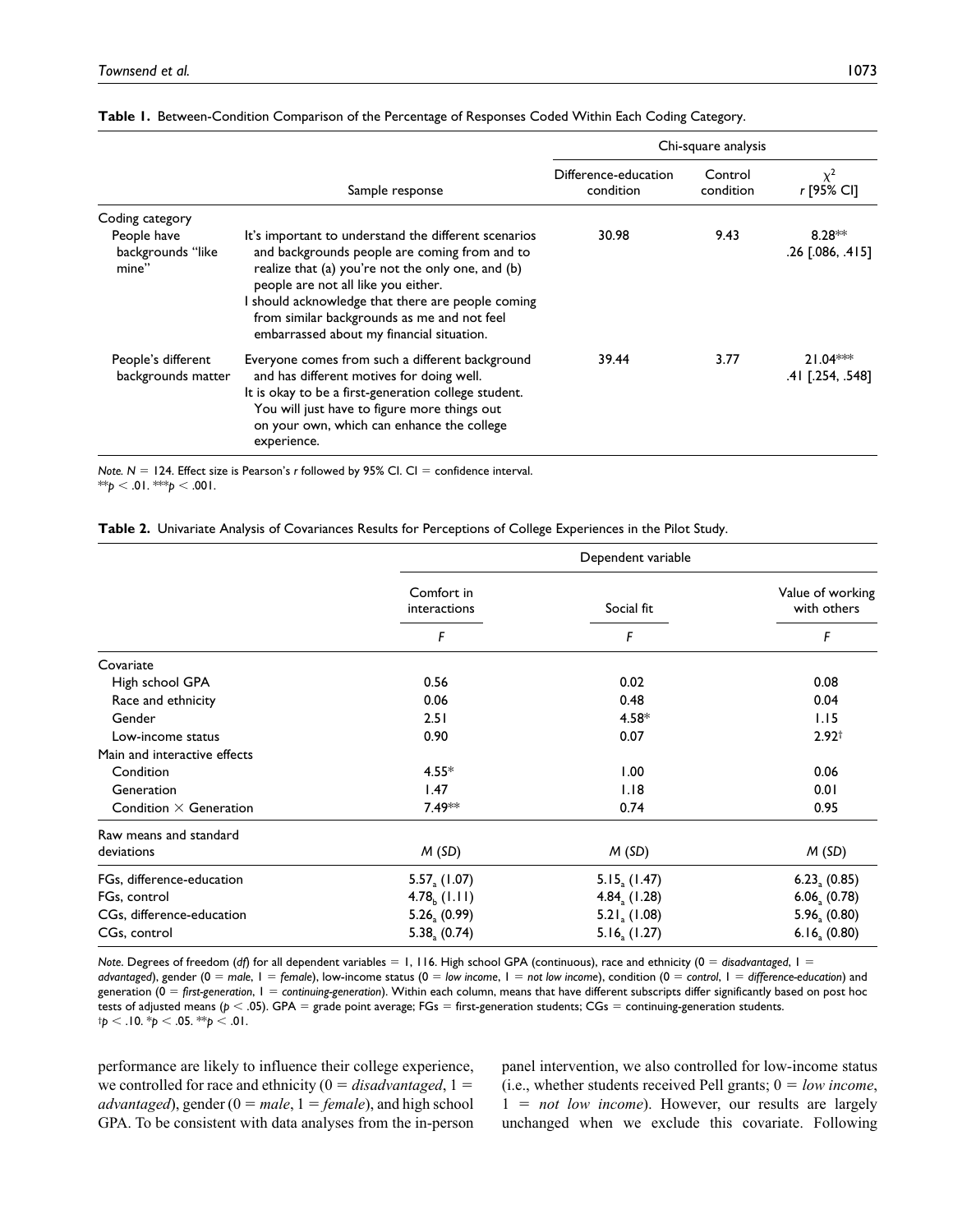|                                           |                                                                                                                                                                                                                                                                                                                                                    | Chi-square analysis               |                      |                                |
|-------------------------------------------|----------------------------------------------------------------------------------------------------------------------------------------------------------------------------------------------------------------------------------------------------------------------------------------------------------------------------------------------------|-----------------------------------|----------------------|--------------------------------|
|                                           | Sample response                                                                                                                                                                                                                                                                                                                                    | Difference-education<br>condition | Control<br>condition | $\chi^2$<br>r [95% CI]         |
| Coding category                           |                                                                                                                                                                                                                                                                                                                                                    |                                   |                      |                                |
| People have<br>backgrounds "like<br>mine" | It's important to understand the different scenarios<br>and backgrounds people are coming from and to<br>realize that (a) you're not the only one, and (b)<br>people are not all like you either.<br>I should acknowledge that there are people coming<br>from similar backgrounds as me and not feel<br>embarrassed about my financial situation. | 30.98                             | 9.43                 | $8.28**$<br>.26 [.086, .415]   |
| People's different<br>backgrounds matter  | Everyone comes from such a different background<br>and has different motives for doing well.<br>It is okay to be a first-generation college student.<br>You will just have to figure more things out<br>on your own, which can enhance the college<br>experience.                                                                                  | 39.44                             | 3.77                 | $21.04***$<br>.41 [.254, .548] |

#### **Table 1.** Between-Condition Comparison of the Percentage of Responses Coded Within Each Coding Category.

*Note.*  $N = 124$ . Effect size is Pearson's *r* followed by 95% CI. CI = confidence interval. \*\**p* < .01. \*\*\**p* < .001.

|  | Table 2. Univariate Analysis of Covariances Results for Perceptions of College Experiences in the Pilot Study. |  |  |  |  |  |  |  |  |  |  |  |  |
|--|----------------------------------------------------------------------------------------------------------------|--|--|--|--|--|--|--|--|--|--|--|--|
|--|----------------------------------------------------------------------------------------------------------------|--|--|--|--|--|--|--|--|--|--|--|--|

|                               | Dependent variable         |                         |                                 |  |  |
|-------------------------------|----------------------------|-------------------------|---------------------------------|--|--|
|                               | Comfort in<br>interactions | Social fit              | Value of working<br>with others |  |  |
|                               | F                          | F                       | F                               |  |  |
| Covariate                     |                            |                         |                                 |  |  |
| High school GPA               | 0.56                       | 0.02                    | 0.08                            |  |  |
| Race and ethnicity            | 0.06                       | 0.48                    | 0.04                            |  |  |
| Gender                        | 2.51                       | $4.58*$                 | 1.15                            |  |  |
| Low-income status             | 0.90                       | 0.07                    | 2.92 <sup>†</sup>               |  |  |
| Main and interactive effects  |                            |                         |                                 |  |  |
| Condition                     | $4.55*$                    | 1.00                    | 0.06                            |  |  |
| Generation                    | 1.47                       | 1.18                    | 0.01                            |  |  |
| Condition $\times$ Generation | 7.49**                     | 0.74                    | 0.95                            |  |  |
| Raw means and standard        |                            |                         |                                 |  |  |
| deviations                    | M(SD)                      | M(SD)                   | M(SD)                           |  |  |
| FGs, difference-education     | $5.57_{\text{a}}(1.07)$    | $5.15_{\text{a}}(1.47)$ | $6.23_{\text{a}}(0.85)$         |  |  |
| FGs, control                  | 4.78 <sub>b</sub> $(1.11)$ | $4.84a$ (1.28)          | $6.06a$ (0.78)                  |  |  |
| CGs, difference-education     | $5.26_{\text{a}}(0.99)$    | $5.21_{\text{a}}(1.08)$ | $5.96a$ (0.80)                  |  |  |
| CGs, control                  | $5.38a$ (0.74)             | $5.16_{\text{a}}(1.27)$ | $6.16_{\text{a}}(0.80)$         |  |  |

*Note*. Degrees of freedom (*df*) for all dependent variables = 1, 116. High school GPA (continuous), race and ethnicity (0 = *disadvantaged*, 1 = *advantaged*), gender (0 = *male*, 1 = *female*), low-income status (0 = *low income*, 1 = *not low income*), condition (0 = *control*, 1 = *difference-education*) and generation (0 = *first-generation*, 1 = *continuing-generation*). Within each column, means that have different subscripts differ significantly based on post hoc tests of adjusted means ( $p < .05$ ). GPA = grade point average; FGs = first-generation students; CGs = continuing-generation students.  $\text{tp}$  < .10.  $\text{*}p$  < .05.  $\text{**}p$  < .01.

performance are likely to influence their college experience, we controlled for race and ethnicity  $(0 = disadvantage, 1 =$ *advantaged*), gender (0 = *male*, 1 = *female*), and high school GPA. To be consistent with data analyses from the in-person

panel intervention, we also controlled for low-income status (i.e., whether students received Pell grants; 0 = *low income*, 1 = *not low income*). However, our results are largely unchanged when we exclude this covariate. Following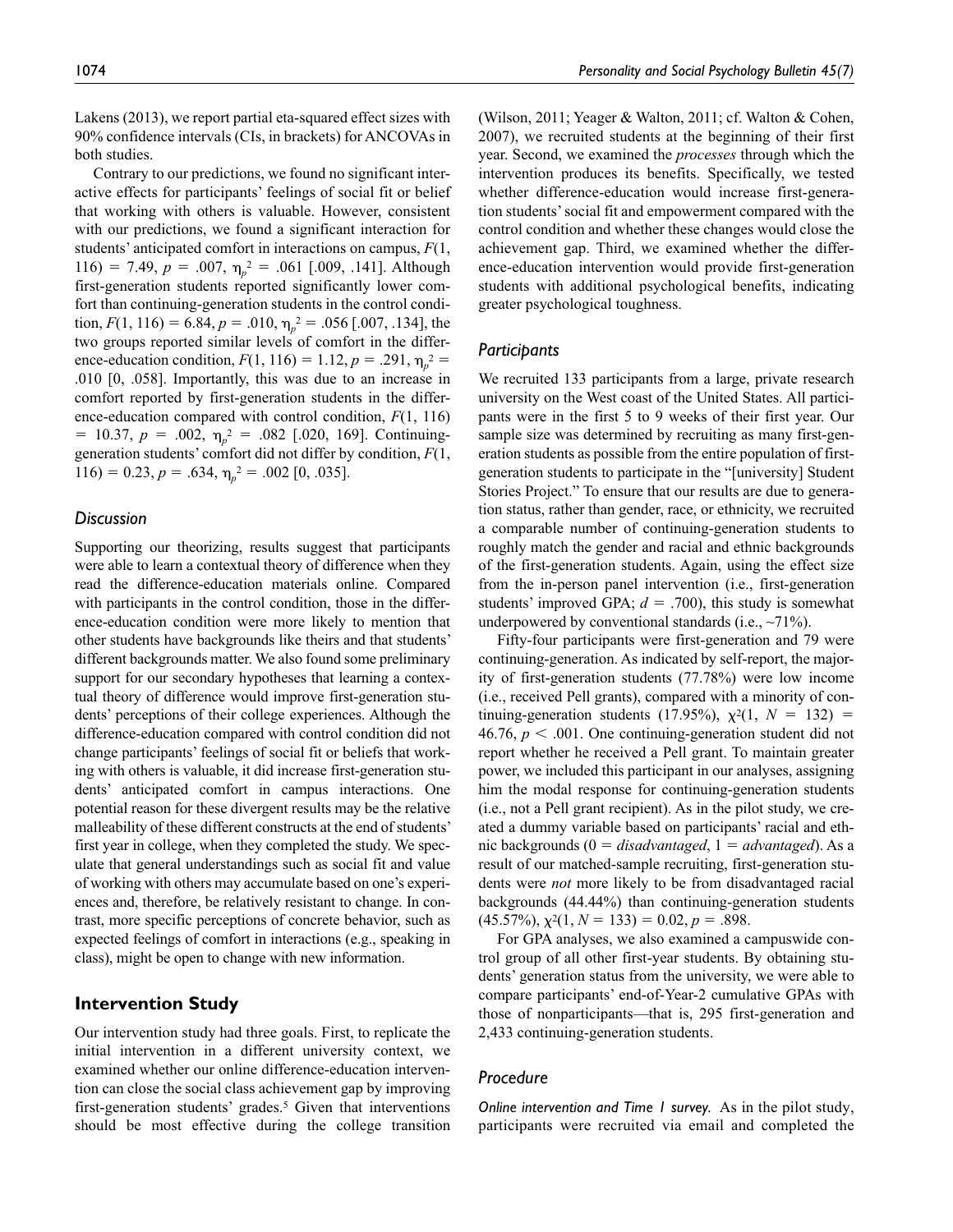Lakens (2013), we report partial eta-squared effect sizes with 90% confidence intervals (CIs, in brackets) for ANCOVAs in both studies.

Contrary to our predictions, we found no significant interactive effects for participants' feelings of social fit or belief that working with others is valuable. However, consistent with our predictions, we found a significant interaction for students' anticipated comfort in interactions on campus, *F*(1, 116) = 7.49,  $p = .007$ ,  $\eta_p^2 = .061$  [.009, .141]. Although first-generation students reported significantly lower comfort than continuing-generation students in the control condition,  $F(1, 116) = 6.84$ ,  $p = .010$ ,  $\eta_p^2 = .056$  [.007, .134], the two groups reported similar levels of comfort in the difference-education condition,  $F(1, 116) = 1.12$ ,  $p = .291$ ,  $\eta_p^2 =$ .010 [0, .058]. Importantly, this was due to an increase in comfort reported by first-generation students in the difference-education compared with control condition, *F*(1, 116)  $= 10.37, p = .002, \eta_p^2 = .082$  [.020, 169]. Continuinggeneration students' comfort did not differ by condition, *F*(1,  $116$ ) = 0.23, *p* = .634,  $\eta_p^2$  = .002 [0, .035].

## *Discussion*

Supporting our theorizing, results suggest that participants were able to learn a contextual theory of difference when they read the difference-education materials online. Compared with participants in the control condition, those in the difference-education condition were more likely to mention that other students have backgrounds like theirs and that students' different backgrounds matter. We also found some preliminary support for our secondary hypotheses that learning a contextual theory of difference would improve first-generation students' perceptions of their college experiences. Although the difference-education compared with control condition did not change participants' feelings of social fit or beliefs that working with others is valuable, it did increase first-generation students' anticipated comfort in campus interactions. One potential reason for these divergent results may be the relative malleability of these different constructs at the end of students' first year in college, when they completed the study. We speculate that general understandings such as social fit and value of working with others may accumulate based on one's experiences and, therefore, be relatively resistant to change. In contrast, more specific perceptions of concrete behavior, such as expected feelings of comfort in interactions (e.g., speaking in class), might be open to change with new information.

## **Intervention Study**

Our intervention study had three goals. First, to replicate the initial intervention in a different university context, we examined whether our online difference-education intervention can close the social class achievement gap by improving first-generation students' grades.<sup>5</sup> Given that interventions should be most effective during the college transition (Wilson, 2011; Yeager & Walton, 2011; cf. Walton & Cohen, 2007), we recruited students at the beginning of their first year. Second, we examined the *processes* through which the intervention produces its benefits. Specifically, we tested whether difference-education would increase first-generation students' social fit and empowerment compared with the control condition and whether these changes would close the achievement gap. Third, we examined whether the difference-education intervention would provide first-generation students with additional psychological benefits, indicating greater psychological toughness.

## *Participants*

We recruited 133 participants from a large, private research university on the West coast of the United States. All participants were in the first 5 to 9 weeks of their first year. Our sample size was determined by recruiting as many first-generation students as possible from the entire population of firstgeneration students to participate in the "[university] Student Stories Project." To ensure that our results are due to generation status, rather than gender, race, or ethnicity, we recruited a comparable number of continuing-generation students to roughly match the gender and racial and ethnic backgrounds of the first-generation students. Again, using the effect size from the in-person panel intervention (i.e., first-generation students' improved GPA;  $d = .700$ ), this study is somewhat underpowered by conventional standards (i.e.,  $\sim$ 71%).

Fifty-four participants were first-generation and 79 were continuing-generation. As indicated by self-report, the majority of first-generation students (77.78%) were low income (i.e., received Pell grants), compared with a minority of continuing-generation students (17.95%),  $\chi^2(1, N = 132)$  = 46.76,  $p < .001$ . One continuing-generation student did not report whether he received a Pell grant. To maintain greater power, we included this participant in our analyses, assigning him the modal response for continuing-generation students (i.e., not a Pell grant recipient). As in the pilot study, we created a dummy variable based on participants' racial and ethnic backgrounds (0 = *disadvantaged*, 1 = *advantaged*). As a result of our matched-sample recruiting, first-generation students were *not* more likely to be from disadvantaged racial backgrounds (44.44%) than continuing-generation students  $(45.57\%)$ ,  $\chi^2(1, N = 133) = 0.02$ ,  $p = .898$ .

For GPA analyses, we also examined a campuswide control group of all other first-year students. By obtaining students' generation status from the university, we were able to compare participants' end-of-Year-2 cumulative GPAs with those of nonparticipants—that is, 295 first-generation and 2,433 continuing-generation students.

## *Procedure*

*Online intervention and Time 1 survey.* As in the pilot study, participants were recruited via email and completed the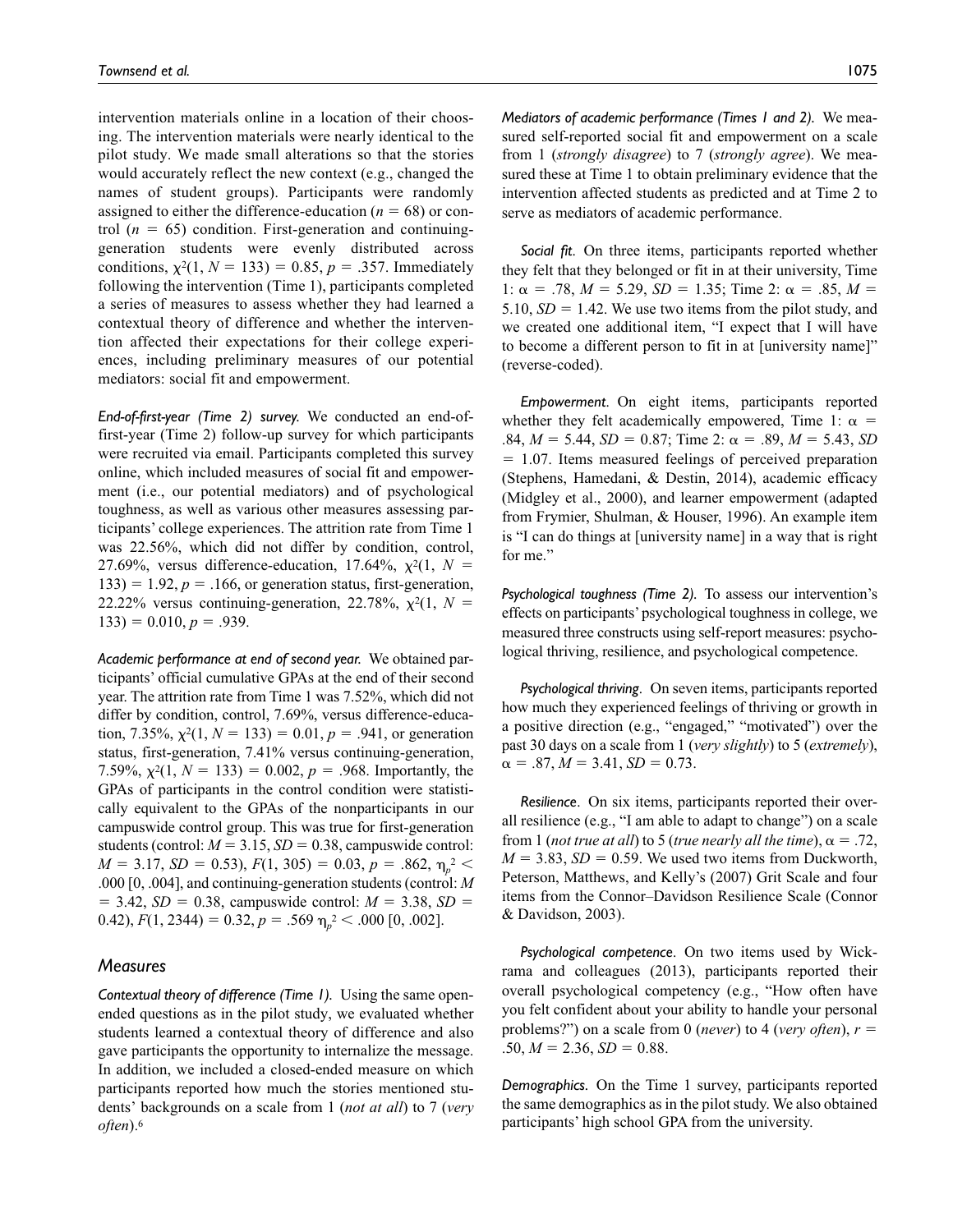intervention materials online in a location of their choosing. The intervention materials were nearly identical to the pilot study. We made small alterations so that the stories would accurately reflect the new context (e.g., changed the names of student groups). Participants were randomly assigned to either the difference-education ( $n = 68$ ) or control  $(n = 65)$  condition. First-generation and continuinggeneration students were evenly distributed across conditions,  $\chi^2(1, N = 133) = 0.85$ ,  $p = .357$ . Immediately following the intervention (Time 1), participants completed a series of measures to assess whether they had learned a contextual theory of difference and whether the intervention affected their expectations for their college experiences, including preliminary measures of our potential mediators: social fit and empowerment.

*End-of-first-year (Time 2) survey.* We conducted an end-offirst-year (Time 2) follow-up survey for which participants were recruited via email. Participants completed this survey online, which included measures of social fit and empowerment (i.e., our potential mediators) and of psychological toughness, as well as various other measures assessing participants' college experiences. The attrition rate from Time 1 was 22.56%, which did not differ by condition, control, 27.69%, versus difference-education, 17.64%,  $\chi^2(1, N =$  $133$ ) = 1.92,  $p = 0.166$ , or generation status, first-generation, 22.22% versus continuing-generation, 22.78%,  $\chi^2(1, N =$  $(133) = 0.010, p = .939.$ 

*Academic performance at end of second year.* We obtained participants' official cumulative GPAs at the end of their second year. The attrition rate from Time 1 was 7.52%, which did not differ by condition, control, 7.69%, versus difference-education, 7.35%,  $\chi^2(1, N = 133) = 0.01, p = .941$ , or generation status, first-generation, 7.41% versus continuing-generation, 7.59%,  $\chi^2(1, N = 133) = 0.002$ ,  $p = .968$ . Importantly, the GPAs of participants in the control condition were statistically equivalent to the GPAs of the nonparticipants in our campuswide control group. This was true for first-generation students (control:  $M = 3.15$ ,  $SD = 0.38$ , campuswide control:  $M = 3.17$ ,  $SD = 0.53$ ),  $F(1, 305) = 0.03$ ,  $p = .862$ ,  $\eta_p^2$  < .000 [0, .004], and continuing-generation students (control: *M*  $= 3.42, SD = 0.38$ , campuswide control:  $M = 3.38, SD =$ 0.42),  $F(1, 2344) = 0.32, p = .569 \eta_p^2 < .000 [0, .002]$ .

## *Measures*

*Contextual theory of difference (Time 1).* Using the same openended questions as in the pilot study, we evaluated whether students learned a contextual theory of difference and also gave participants the opportunity to internalize the message. In addition, we included a closed-ended measure on which participants reported how much the stories mentioned students' backgrounds on a scale from 1 (*not at all*) to 7 (*very often*).6

*Mediators of academic performance (Times 1 and 2).* We measured self-reported social fit and empowerment on a scale from 1 (*strongly disagree*) to 7 (*strongly agree*). We measured these at Time 1 to obtain preliminary evidence that the

*Social fit*. On three items, participants reported whether they felt that they belonged or fit in at their university, Time 1:  $\alpha = .78$ ,  $M = 5.29$ ,  $SD = 1.35$ ; Time 2:  $\alpha = .85$ ,  $M =$ 5.10,  $SD = 1.42$ . We use two items from the pilot study, and we created one additional item, "I expect that I will have to become a different person to fit in at [university name]" (reverse-coded).

intervention affected students as predicted and at Time 2 to

serve as mediators of academic performance.

*Empowerment*. On eight items, participants reported whether they felt academically empowered, Time 1:  $\alpha$  = .84,  $M = 5.44$ ,  $SD = 0.87$ ; Time 2:  $\alpha = .89$ ,  $M = 5.43$ , SD = 1.07. Items measured feelings of perceived preparation (Stephens, Hamedani, & Destin, 2014), academic efficacy (Midgley et al., 2000), and learner empowerment (adapted from Frymier, Shulman, & Houser, 1996). An example item is "I can do things at [university name] in a way that is right for me."

*Psychological toughness (Time 2).* To assess our intervention's effects on participants' psychological toughness in college, we measured three constructs using self-report measures: psychological thriving, resilience, and psychological competence.

*Psychological thriving*. On seven items, participants reported how much they experienced feelings of thriving or growth in a positive direction (e.g., "engaged," "motivated") over the past 30 days on a scale from 1 (*very slightly*) to 5 (*extremely*),  $\alpha = .87, M = 3.41, SD = 0.73.$ 

*Resilience*. On six items, participants reported their overall resilience (e.g., "I am able to adapt to change") on a scale from 1 (*not true at all*) to 5 (*true nearly all the time*),  $\alpha = .72$ ,  $M = 3.83$ ,  $SD = 0.59$ . We used two items from Duckworth, Peterson, Matthews, and Kelly's (2007) Grit Scale and four items from the Connor–Davidson Resilience Scale (Connor & Davidson, 2003).

*Psychological competence*. On two items used by Wickrama and colleagues (2013), participants reported their overall psychological competency (e.g., "How often have you felt confident about your ability to handle your personal problems?") on a scale from 0 (*never*) to 4 (*very often*), *r* =  $.50, M = 2.36, SD = 0.88.$ 

*Demographics.* On the Time 1 survey, participants reported the same demographics as in the pilot study. We also obtained participants' high school GPA from the university.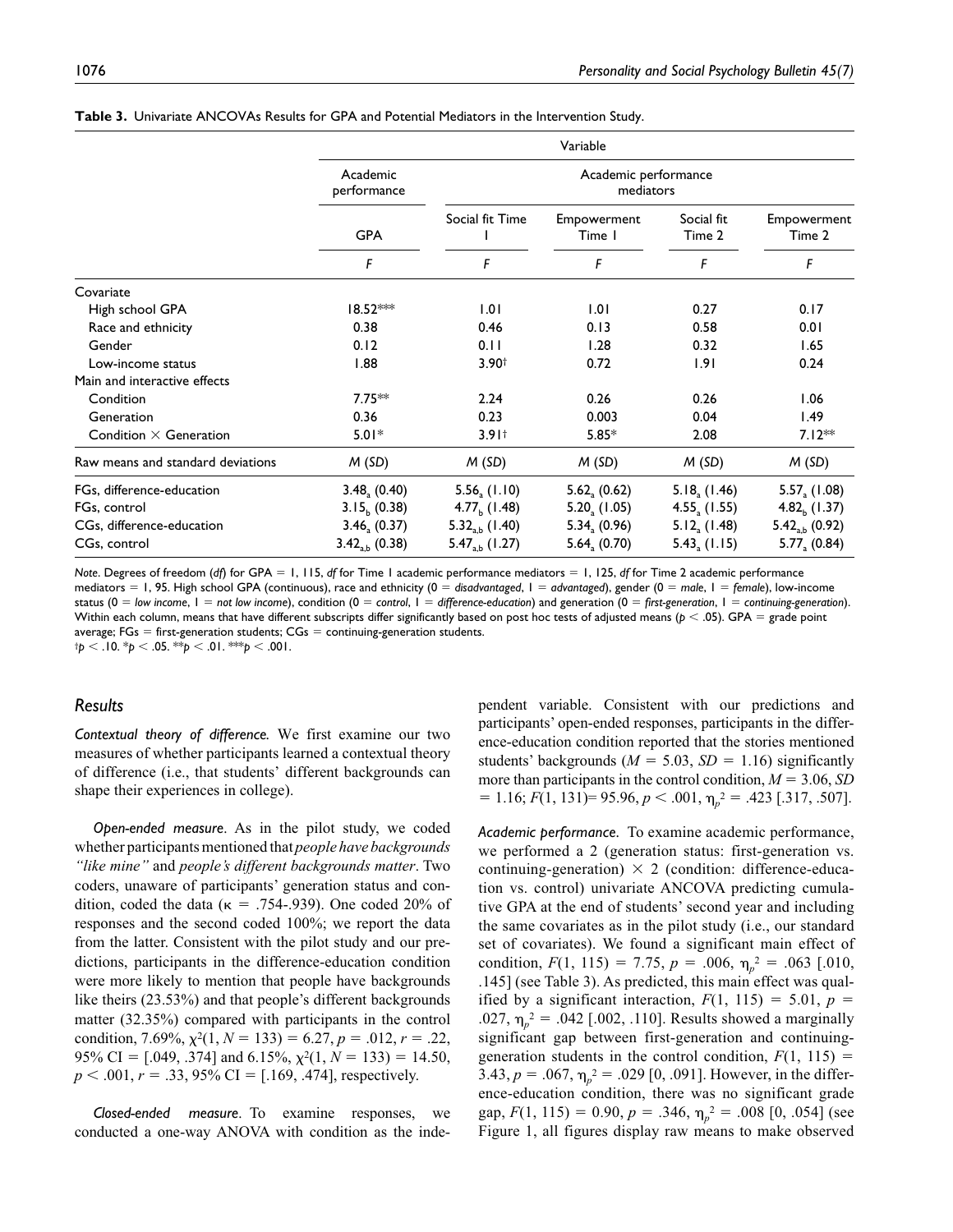|                                   | Variable                |                                   |                         |                         |                         |  |  |
|-----------------------------------|-------------------------|-----------------------------------|-------------------------|-------------------------|-------------------------|--|--|
|                                   | Academic<br>performance | Academic performance<br>mediators |                         |                         |                         |  |  |
|                                   | <b>GPA</b>              | Social fit Time                   | Empowerment<br>Time I   | Social fit<br>Time 2    | Empowerment<br>Time 2   |  |  |
|                                   | F                       | F<br>F                            |                         | F                       | F                       |  |  |
| Covariate                         |                         |                                   |                         |                         |                         |  |  |
| High school GPA                   | $18.52***$              | 1.01                              | 1.01                    | 0.27                    | 0.17                    |  |  |
| Race and ethnicity                | 0.38                    | 0.46                              | 0.13                    | 0.58                    | 0.01                    |  |  |
| Gender                            | 0.12                    | 0.11                              | 1.28                    | 0.32                    | 1.65                    |  |  |
| Low-income status                 | 1.88                    | 3.90+                             | 0.72                    | 1.91                    | 0.24                    |  |  |
| Main and interactive effects      |                         |                                   |                         |                         |                         |  |  |
| Condition                         | $7.75***$               | 2.24                              | 0.26                    | 0.26                    | 1.06                    |  |  |
| Generation                        | 0.36                    | 0.23                              | 0.003                   | 0.04                    | 1.49                    |  |  |
| Condition $\times$ Generation     | $5.01*$                 | 3.91 <sup>†</sup>                 | $5.85*$                 | 2.08                    | $7.12**$                |  |  |
| Raw means and standard deviations | M(SD)                   | M(SD)                             | M(SD)                   | M(SD)                   | M(SD)                   |  |  |
| FGs, difference-education         | 3.48, (0.40)            | 5.56, (1.10)                      | 5.62, (0.62)            | 5.18, (1.46)            | 5.57, (1.08)            |  |  |
| FGs, control                      | $3.15_{h}$ (0.38)       | $4.77b$ (1.48)                    | $5.20_{\text{a}}(1.05)$ | $4.55_{\text{a}}(1.55)$ | $4.82b$ (1.37)          |  |  |
| CGs, difference-education         | $3.46_{\text{a}}(0.37)$ | 5.32 <sub>a,b</sub> $(1.40)$      | $5.34_{\circ}$ (0.96)   | 5.12, (1.48)            | $5.42_{a,b}$ (0.92)     |  |  |
| CGs, control                      | $3.42_{a,b}$ (0.38)     | 5.47 <sub>a,b</sub> $(1.27)$      | 5.64, (0.70)            | $5.43a$ (1.15)          | $5.77_{\text{a}}(0.84)$ |  |  |
|                                   |                         |                                   |                         |                         |                         |  |  |

#### **Table 3.** Univariate ANCOVAs Results for GPA and Potential Mediators in the Intervention Study.

*Note*. Degrees of freedom (*df*) for GPA = 1, 115, *df* for Time 1 academic performance mediators = 1, 125, *df* for Time 2 academic performance mediators = 1, 95. High school GPA (continuous), race and ethnicity (0 = *disadvantaged*, 1 = *advantaged*), gender (0 = *male*, 1 = *female*), low-income status (0 = *low income*, 1 = *not low income*), condition (0 = *control*, 1 = *difference-education*) and generation (0 = *first-generation*, 1 = *continuing-generation*). Within each column, means that have different subscripts differ significantly based on post hoc tests of adjusted means (*p* < .05). GPA = grade point average;  $FGs = first-generation students$ ;  $CGs = continuing-generation students$ . †*p* < .10. \**p* < .05. \*\**p* < .01. \*\*\**p* < .001.

## *Results*

*Contextual theory of difference.* We first examine our two measures of whether participants learned a contextual theory of difference (i.e., that students' different backgrounds can shape their experiences in college).

*Open-ended measure*. As in the pilot study, we coded whether participants mentioned that *people have backgrounds "like mine"* and *people's different backgrounds matter*. Two coders, unaware of participants' generation status and condition, coded the data ( $\kappa = .754-.939$ ). One coded 20% of responses and the second coded 100%; we report the data from the latter. Consistent with the pilot study and our predictions, participants in the difference-education condition were more likely to mention that people have backgrounds like theirs (23.53%) and that people's different backgrounds matter (32.35%) compared with participants in the control condition, 7.69%,  $\chi^2(1, N = 133) = 6.27, p = .012, r = .22$ 95% CI =  $[0.049, 0.374]$  and  $6.15\%$ ,  $\chi^2(1, N = 133) = 14.50$ ,  $p < .001$ ,  $r = .33$ , 95% CI = [.169, .474], respectively.

*Closed-ended measure*. To examine responses, we conducted a one-way ANOVA with condition as the independent variable. Consistent with our predictions and participants' open-ended responses, participants in the difference-education condition reported that the stories mentioned students' backgrounds ( $M = 5.03$ ,  $SD = 1.16$ ) significantly more than participants in the control condition, *M* = 3.06, *SD*  $= 1.16; F(1, 131) = 95.96, p < .001, \eta_p^2 = .423$  [.317, .507].

*Academic performance.* To examine academic performance, we performed a 2 (generation status: first-generation vs. continuing-generation)  $\times$  2 (condition: difference-education vs. control) univariate ANCOVA predicting cumulative GPA at the end of students' second year and including the same covariates as in the pilot study (i.e., our standard set of covariates). We found a significant main effect of condition,  $F(1, 115) = 7.75$ ,  $p = .006$ ,  $\eta_p^2 = .063$  [.010, .145] (see Table 3). As predicted, this main effect was qualified by a significant interaction,  $F(1, 115) = 5.01$ ,  $p =$ .027,  $\eta_p^2 = .042$  [.002, .110]. Results showed a marginally significant gap between first-generation and continuinggeneration students in the control condition,  $F(1, 115) =$ 3.43,  $p = .067$ ,  $\eta_p^2 = .029$  [0, .091]. However, in the difference-education condition, there was no significant grade gap,  $F(1, 115) = 0.90$ ,  $p = .346$ ,  $\eta_p^2 = .008$  [0, .054] (see Figure 1, all figures display raw means to make observed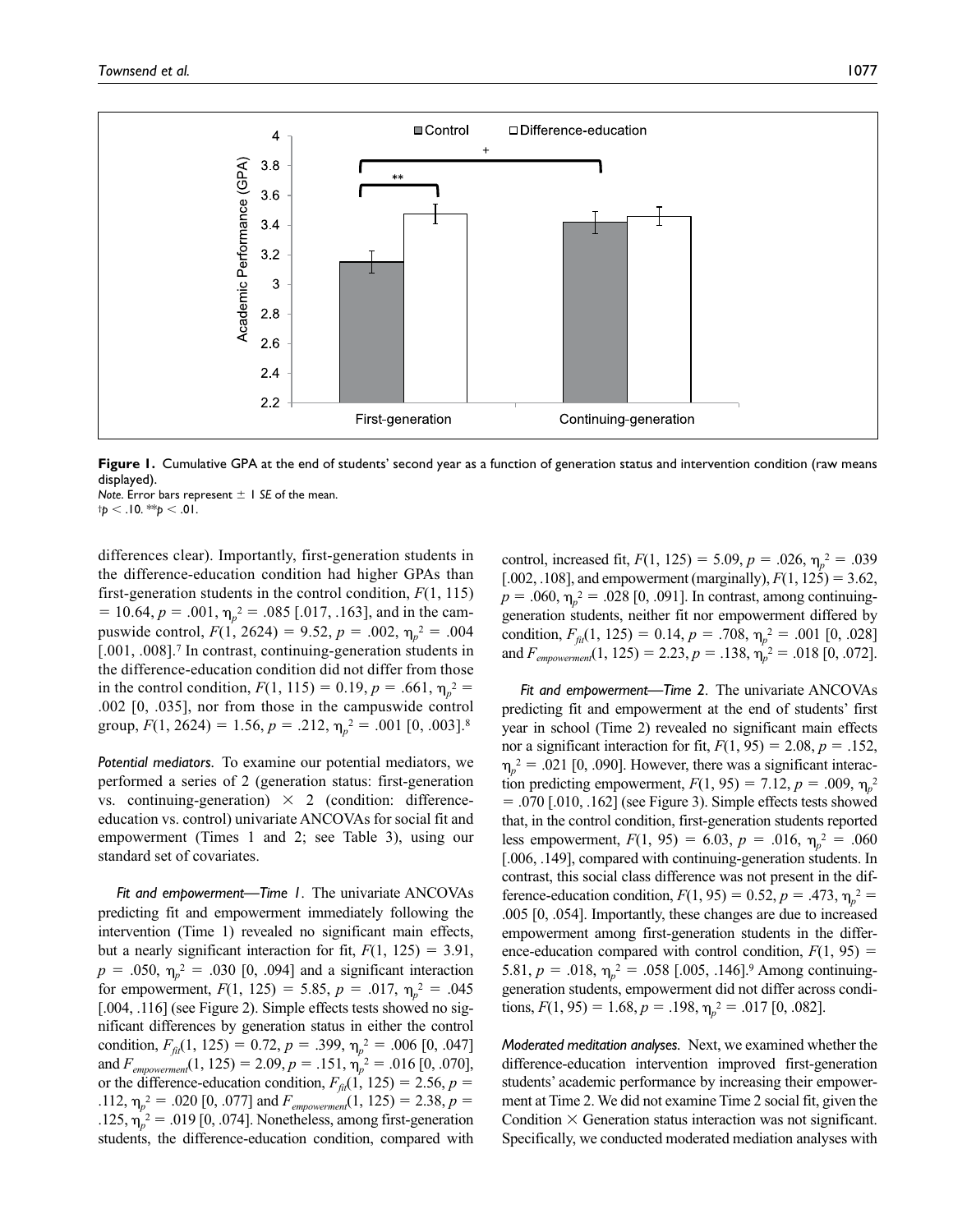

Figure 1. Cumulative GPA at the end of students' second year as a function of generation status and intervention condition (raw means displayed).

*Note*. Error bars represent ± 1 *SE* of the mean. †*p* < .10. \*\**p* < .01.

differences clear). Importantly, first-generation students in the difference-education condition had higher GPAs than first-generation students in the control condition, *F*(1, 115)  $= 10.64, p = .001, \eta_p^2 = .085$  [.017, .163], and in the campuswide control,  $F(1, 2624) = 9.52$ ,  $p = .002$ ,  $\eta_p^2 = .004$ [.001, .008].<sup>7</sup> In contrast, continuing-generation students in the difference-education condition did not differ from those in the control condition,  $F(1, 115) = 0.19$ ,  $p = .661$ ,  $\eta_p^2 =$ .002 [0, .035], nor from those in the campuswide control group,  $F(1, 2624) = 1.56$ ,  $p = .212$ ,  $\eta_p^2 = .001$  [0, .003].<sup>8</sup>

*Potential mediators.* To examine our potential mediators, we performed a series of 2 (generation status: first-generation vs. continuing-generation)  $\times$  2 (condition: differenceeducation vs. control) univariate ANCOVAs for social fit and empowerment (Times 1 and 2; see Table 3), using our standard set of covariates.

*Fit and empowerment—Time 1*. The univariate ANCOVAs predicting fit and empowerment immediately following the intervention (Time 1) revealed no significant main effects, but a nearly significant interaction for fit,  $F(1, 125) = 3.91$ ,  $p = .050, \eta_p^2 = .030$  [0, .094] and a significant interaction for empowerment,  $F(1, 125) = 5.85$ ,  $p = .017$ ,  $\eta_p^2 = .045$ [.004, .116] (see Figure 2). Simple effects tests showed no significant differences by generation status in either the control condition,  $F_{\text{fit}}(1, 125) = 0.72$ ,  $p = .399$ ,  $\eta_p^2 = .006$  [0, .047] and  $F_{\text{empowerment}}(1, 125) = 2.09, p = .151, \eta_p^2 = .016 [0, .070],$ or the difference-education condition,  $F_{\hat{n}i}(1, 125) = 2.56$ ,  $p =$ .112,  $\eta_p^2 = .020$  [0, .077] and  $F_{empowerment}(1, 125) = 2.38, p =$ .125,  $\eta_p^2$  = .019 [0, .074]. Nonetheless, among first-generation students, the difference-education condition, compared with

control, increased fit,  $F(1, 125) = 5.09$ ,  $p = .026$ ,  $\eta_p^2 = .039$ [.002, .108], and empowerment (marginally),  $F(1, 125) = 3.62$ ,  $p = .060$ ,  $\eta_p^2 = .028$  [0, .091]. In contrast, among continuinggeneration students, neither fit nor empowerment differed by condition,  $F_{\text{fit}}(1, 125) = 0.14$ ,  $p = .708$ ,  $\eta_p^2 = .001$  [0, .028] and  $F_{\text{empovernent}}(1, 125) = 2.23, p = .138, \eta_p^2 = .018 \, [0, .072].$ 

*Fit and empowerment—Time 2*. The univariate ANCOVAs predicting fit and empowerment at the end of students' first year in school (Time 2) revealed no significant main effects nor a significant interaction for fit,  $F(1, 95) = 2.08$ ,  $p = .152$ ,  $\eta_p^2$  = .021 [0, .090]. However, there was a significant interaction predicting empowerment,  $F(1, 95) = 7.12, p = .009, \eta_p^2$ = .070 [.010, .162] (see Figure 3). Simple effects tests showed that, in the control condition, first-generation students reported less empowerment,  $F(1, 95) = 6.03$ ,  $p = .016$ ,  $\eta_p^2 = .060$ [.006, .149], compared with continuing-generation students. In contrast, this social class difference was not present in the difference-education condition,  $F(1, 95) = 0.52$ ,  $p = .473$ ,  $\eta_p^2 =$ .005 [0, .054]. Importantly, these changes are due to increased empowerment among first-generation students in the difference-education compared with control condition,  $F(1, 95)$  = 5.81,  $p = .018$ ,  $\eta_p^2 = .058$  [.005, .146].<sup>9</sup> Among continuinggeneration students, empowerment did not differ across conditions,  $F(1, 95) = 1.68$ ,  $p = .198$ ,  $\eta_p^2 = .017$  [0, .082].

*Moderated meditation analyses.* Next, we examined whether the difference-education intervention improved first-generation students' academic performance by increasing their empowerment at Time 2. We did not examine Time 2 social fit, given the Condition  $\times$  Generation status interaction was not significant. Specifically, we conducted moderated mediation analyses with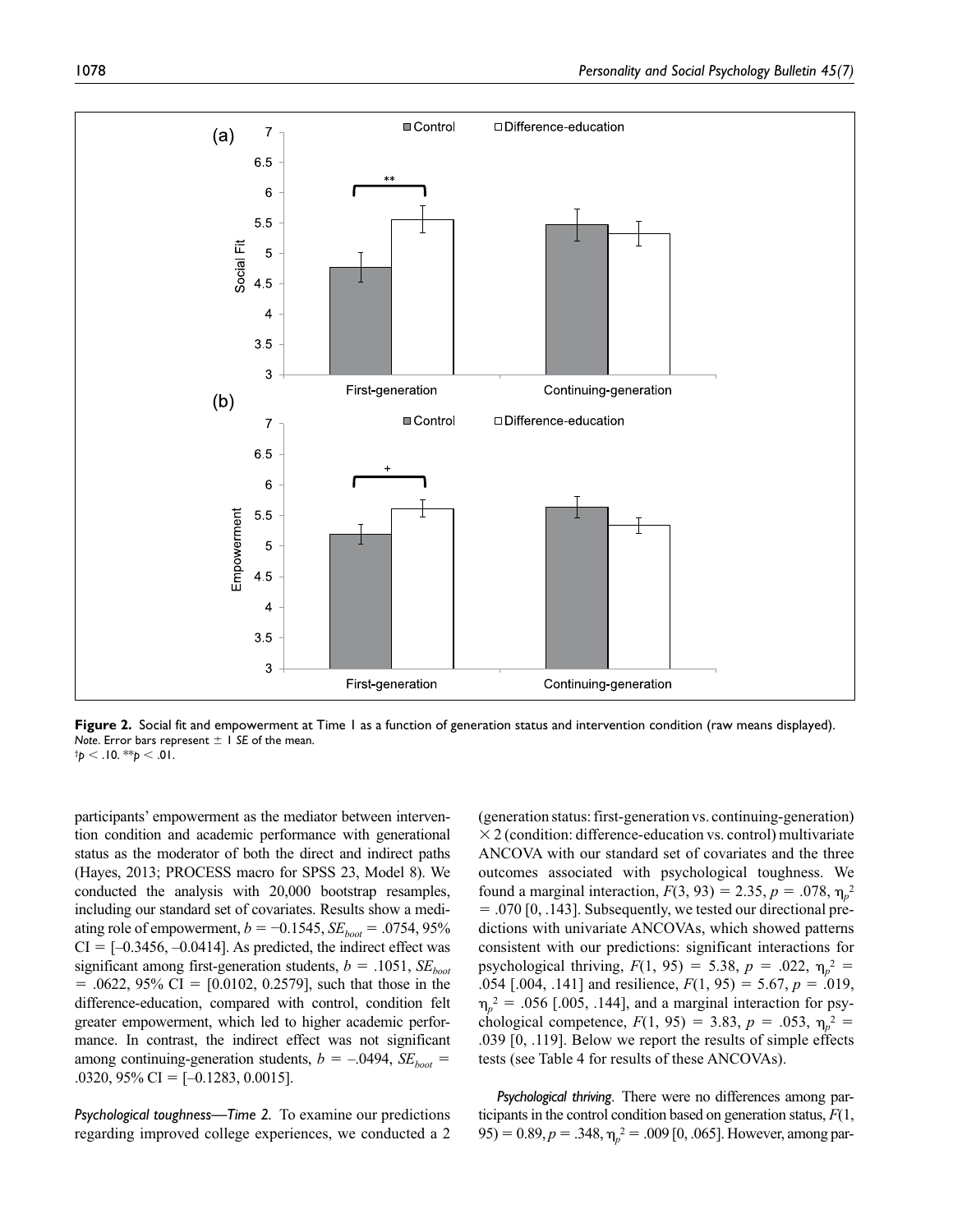

**Figure 2.** Social fit and empowerment at Time 1 as a function of generation status and intervention condition (raw means displayed). *Note*. Error bars represent ± 1 *SE* of the mean.  $\uparrow p$  < .10. \*\**p* < .01.

participants' empowerment as the mediator between intervention condition and academic performance with generational status as the moderator of both the direct and indirect paths (Hayes, 2013; PROCESS macro for SPSS 23, Model 8). We conducted the analysis with 20,000 bootstrap resamples, including our standard set of covariates. Results show a mediating role of empowerment, *b* = −0.1545,  $SE_{boot}$  = .0754, 95%  $CI = [-0.3456, -0.0414]$ . As predicted, the indirect effect was significant among first-generation students,  $b = .1051$ ,  $SE<sub>boot</sub>$  $= .0622, 95\% \text{ CI} = [0.0102, 0.2579], \text{such that those in the}$ difference-education, compared with control, condition felt greater empowerment, which led to higher academic performance. In contrast, the indirect effect was not significant among continuing-generation students,  $b = -.0494$ ,  $SE<sub>host</sub>$ .0320, 95% CI =  $[-0.1283, 0.0015]$ .

*Psychological toughness—Time 2.* To examine our predictions regarding improved college experiences, we conducted a 2

(generation status: first-generation vs. continuing-generation)  $\times$  2 (condition: difference-education vs. control) multivariate ANCOVA with our standard set of covariates and the three outcomes associated with psychological toughness. We found a marginal interaction,  $F(3, 93) = 2.35, p = .078, \eta_p^2$ = .070 [0, .143]. Subsequently, we tested our directional predictions with univariate ANCOVAs, which showed patterns consistent with our predictions: significant interactions for psychological thriving,  $F(1, 95) = 5.38$ ,  $p = .022$ ,  $\eta_p^2 =$ .054 [.004, .141] and resilience, *F*(1, 95) = 5.67, *p* = .019,  $\eta_p^2$  = .056 [.005, .144], and a marginal interaction for psychological competence,  $F(1, 95) = 3.83$ ,  $p = .053$ ,  $\eta_p^2 =$ .039 [0, .119]. Below we report the results of simple effects tests (see Table 4 for results of these ANCOVAs).

*Psychological thriving*. There were no differences among participants in the control condition based on generation status, *F*(1,  $95$ ) = 0.89,  $p = .348$ ,  $\eta_p^2 = .009$  [0, .065]. However, among par-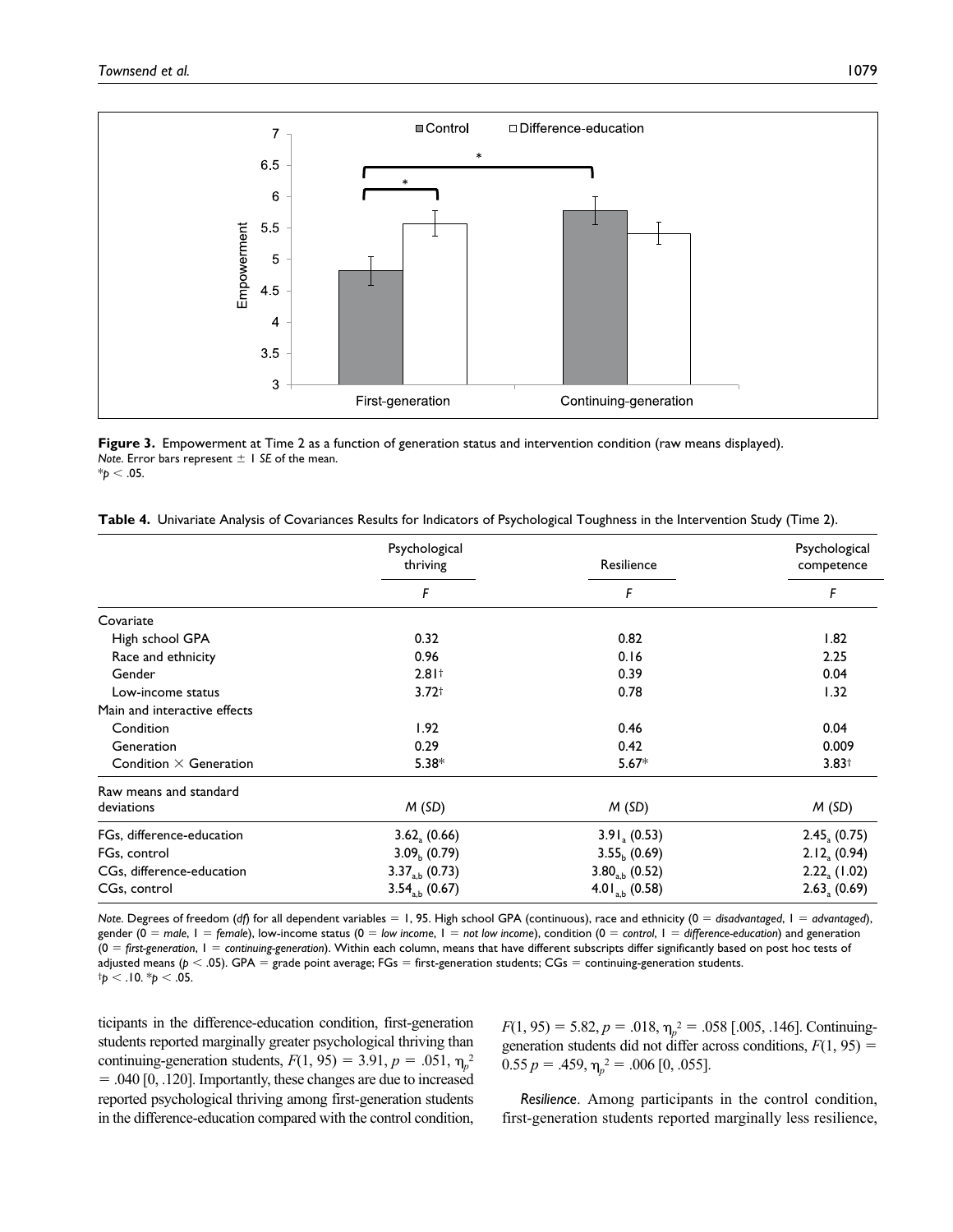

**Figure 3.** Empowerment at Time 2 as a function of generation status and intervention condition (raw means displayed). *Note*. Error bars represent ± 1 *SE* of the mean.

 $*_{p}$  < .05.

|  |  |  |  |  | Table 4. Univariate Analysis of Covariances Results for Indicators of Psychological Toughness in the Intervention Study (Time 2). |  |
|--|--|--|--|--|-----------------------------------------------------------------------------------------------------------------------------------|--|
|--|--|--|--|--|-----------------------------------------------------------------------------------------------------------------------------------|--|

|                               | Psychological<br>thriving | Resilience                   | Psychological<br>competence |  |
|-------------------------------|---------------------------|------------------------------|-----------------------------|--|
|                               |                           |                              |                             |  |
|                               | F                         | F                            | F                           |  |
| Covariate                     |                           |                              |                             |  |
| High school GPA               | 0.32                      | 0.82                         | 1.82                        |  |
| Race and ethnicity            | 0.96                      | 0.16                         | 2.25                        |  |
| Gender                        | 2.81 <sup>†</sup>         | 0.39                         | 0.04                        |  |
| Low-income status             | $3.72^{+}$                | 0.78                         | 1.32                        |  |
| Main and interactive effects  |                           |                              |                             |  |
| Condition                     | 1.92                      | 0.46                         | 0.04                        |  |
| Generation                    | 0.29                      | 0.42                         | 0.009                       |  |
| Condition $\times$ Generation | $5.38*$                   | $5.67*$                      | 3.83 <sup>†</sup>           |  |
| Raw means and standard        |                           |                              |                             |  |
| deviations                    | M(SD)                     | M(SD)                        | M(SD)                       |  |
| FGs, difference-education     | 3.62, (0.66)              | 3.91, (0.53)                 | 2.45, (0.75)                |  |
| FGs, control                  | $3.09b$ (0.79)            | $3.55b$ (0.69)               | $2.12_{\text{a}}(0.94)$     |  |
| CGs, difference-education     | $3.37_{ab}$ (0.73)        | 3.80 <sub>a,b</sub> $(0.52)$ | $2.22_{\circ}$ (1.02)       |  |
| CGs, control                  | $3.54_{ab}$ (0.67)        | 4.0 $I_{a,b}$ (0.58)         | $2.63a$ (0.69)              |  |

*Note*. Degrees of freedom (*df*) for all dependent variables = 1, 95. High school GPA (continuous), race and ethnicity (0 = *disadvantaged*, 1 = *advantaged*), gender (0 = *male*, 1 = *female*), low-income status (0 = *low income*, 1 = *not low income*), condition (0 = *control*, 1 = *difference-education*) and generation (0 = *first-generation*, 1 = *continuing-generation*). Within each column, means that have different subscripts differ significantly based on post hoc tests of adjusted means ( $p < .05$ ). GPA = grade point average; FGs = first-generation students; CGs = continuing-generation students. †*p* < .10. \**p* < .05.

ticipants in the difference-education condition, first-generation students reported marginally greater psychological thriving than continuing-generation students,  $F(1, 95) = 3.91$ ,  $p = .051$ ,  $\eta_p^2$ = .040 [0, .120]. Importantly, these changes are due to increased reported psychological thriving among first-generation students in the difference-education compared with the control condition,

 $F(1, 95) = 5.82, p = .018, \eta_p^2 = .058$  [.005, .146]. Continuinggeneration students did not differ across conditions,  $F(1, 95) =$  $0.55 p = .459, \eta_p^2 = .006 [0, .055].$ 

*Resilience*. Among participants in the control condition, first-generation students reported marginally less resilience,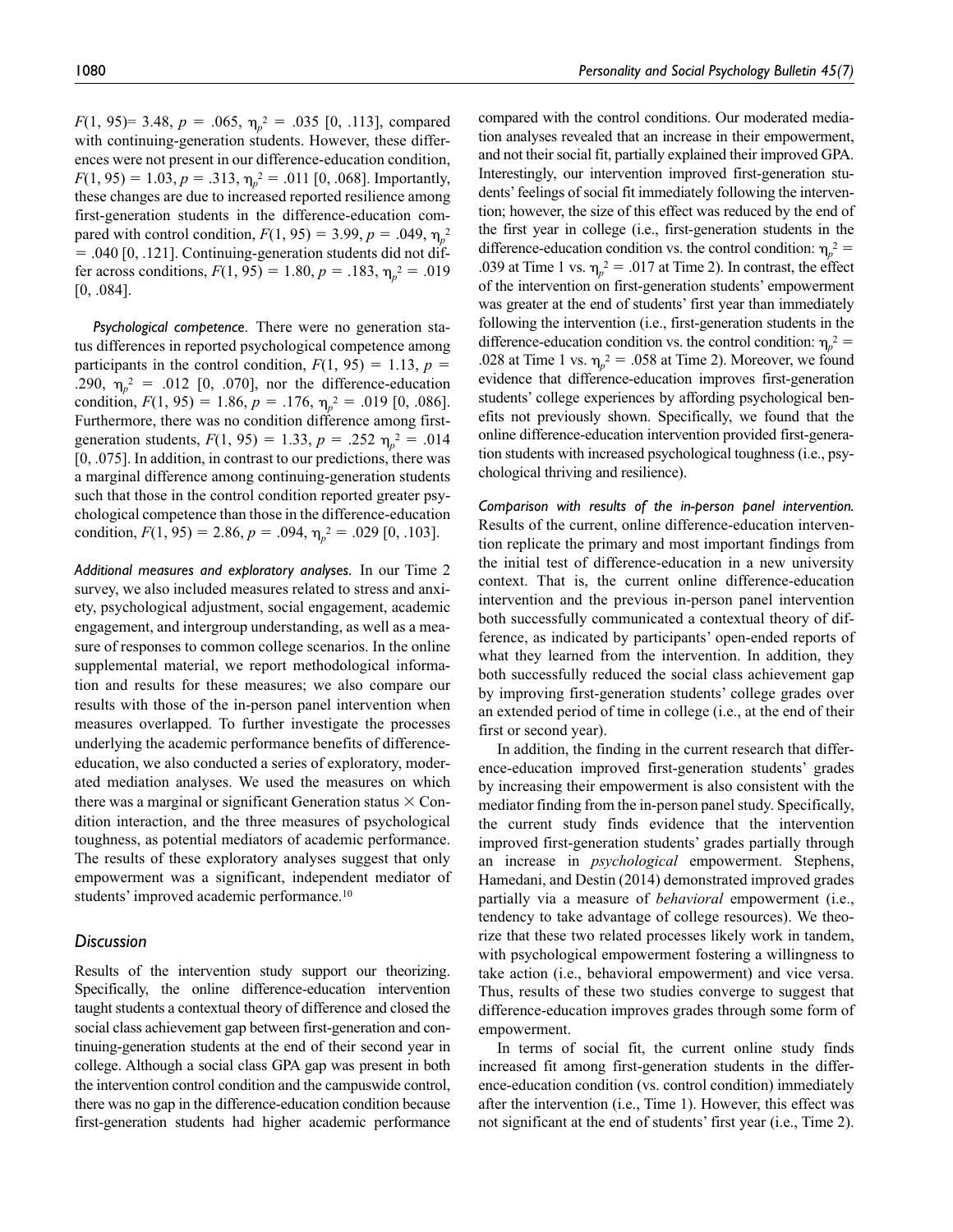*F*(1, 95)= 3.48, *p* = .065,  $\eta_p^2$  = .035 [0, .113], compared with continuing-generation students. However, these differences were not present in our difference-education condition,  $F(1, 95) = 1.03, p = .313, \eta_p^2 = .011$  [0, .068]. Importantly, these changes are due to increased reported resilience among first-generation students in the difference-education compared with control condition,  $F(1, 95) = 3.99, p = .049, \eta_p^2$ = .040 [0, .121]. Continuing-generation students did not differ across conditions,  $F(1, 95) = 1.80$ ,  $p = .183$ ,  $\eta_p^2 = .019$ [0, .084].

*Psychological competence*. There were no generation status differences in reported psychological competence among participants in the control condition,  $F(1, 95) = 1.13$ ,  $p =$ .290,  $\eta_p^2 = .012$  [0, .070], nor the difference-education condition,  $F(1, 95) = 1.86$ ,  $p = .176$ ,  $\eta_p^2 = .019$  [0, .086]. Furthermore, there was no condition difference among firstgeneration students,  $F(1, 95) = 1.33$ ,  $p = .252$   $\eta_p^2 = .014$ [0, .075]. In addition, in contrast to our predictions, there was a marginal difference among continuing-generation students such that those in the control condition reported greater psychological competence than those in the difference-education condition,  $F(1, 95) = 2.86$ ,  $p = .094$ ,  $\eta_p^2 = .029$  [0, .103].

*Additional measures and exploratory analyses.* In our Time 2 survey, we also included measures related to stress and anxiety, psychological adjustment, social engagement, academic engagement, and intergroup understanding, as well as a measure of responses to common college scenarios. In the online supplemental material, we report methodological information and results for these measures; we also compare our results with those of the in-person panel intervention when measures overlapped. To further investigate the processes underlying the academic performance benefits of differenceeducation, we also conducted a series of exploratory, moderated mediation analyses. We used the measures on which there was a marginal or significant Generation status  $\times$  Condition interaction, and the three measures of psychological toughness, as potential mediators of academic performance. The results of these exploratory analyses suggest that only empowerment was a significant, independent mediator of students' improved academic performance.10

#### *Discussion*

Results of the intervention study support our theorizing. Specifically, the online difference-education intervention taught students a contextual theory of difference and closed the social class achievement gap between first-generation and continuing-generation students at the end of their second year in college. Although a social class GPA gap was present in both the intervention control condition and the campuswide control, there was no gap in the difference-education condition because first-generation students had higher academic performance

compared with the control conditions. Our moderated mediation analyses revealed that an increase in their empowerment, and not their social fit, partially explained their improved GPA. Interestingly, our intervention improved first-generation students' feelings of social fit immediately following the intervention; however, the size of this effect was reduced by the end of the first year in college (i.e., first-generation students in the difference-education condition vs. the control condition:  $\eta_p^2$  = .039 at Time 1 vs.  $\eta_p^2 = .017$  at Time 2). In contrast, the effect of the intervention on first-generation students' empowerment was greater at the end of students' first year than immediately following the intervention (i.e., first-generation students in the difference-education condition vs. the control condition:  $\eta_p^2$  = .028 at Time 1 vs.  $\eta_p^2 = .058$  at Time 2). Moreover, we found evidence that difference-education improves first-generation students' college experiences by affording psychological benefits not previously shown. Specifically, we found that the online difference-education intervention provided first-generation students with increased psychological toughness (i.e., psychological thriving and resilience).

*Comparison with results of the in-person panel intervention.* Results of the current, online difference-education intervention replicate the primary and most important findings from the initial test of difference-education in a new university context. That is, the current online difference-education intervention and the previous in-person panel intervention both successfully communicated a contextual theory of difference, as indicated by participants' open-ended reports of what they learned from the intervention. In addition, they both successfully reduced the social class achievement gap by improving first-generation students' college grades over an extended period of time in college (i.e., at the end of their first or second year).

In addition, the finding in the current research that difference-education improved first-generation students' grades by increasing their empowerment is also consistent with the mediator finding from the in-person panel study. Specifically, the current study finds evidence that the intervention improved first-generation students' grades partially through an increase in *psychological* empowerment. Stephens, Hamedani, and Destin (2014) demonstrated improved grades partially via a measure of *behavioral* empowerment (i.e., tendency to take advantage of college resources). We theorize that these two related processes likely work in tandem, with psychological empowerment fostering a willingness to take action (i.e., behavioral empowerment) and vice versa. Thus, results of these two studies converge to suggest that difference-education improves grades through some form of empowerment.

In terms of social fit, the current online study finds increased fit among first-generation students in the difference-education condition (vs. control condition) immediately after the intervention (i.e., Time 1). However, this effect was not significant at the end of students' first year (i.e., Time 2).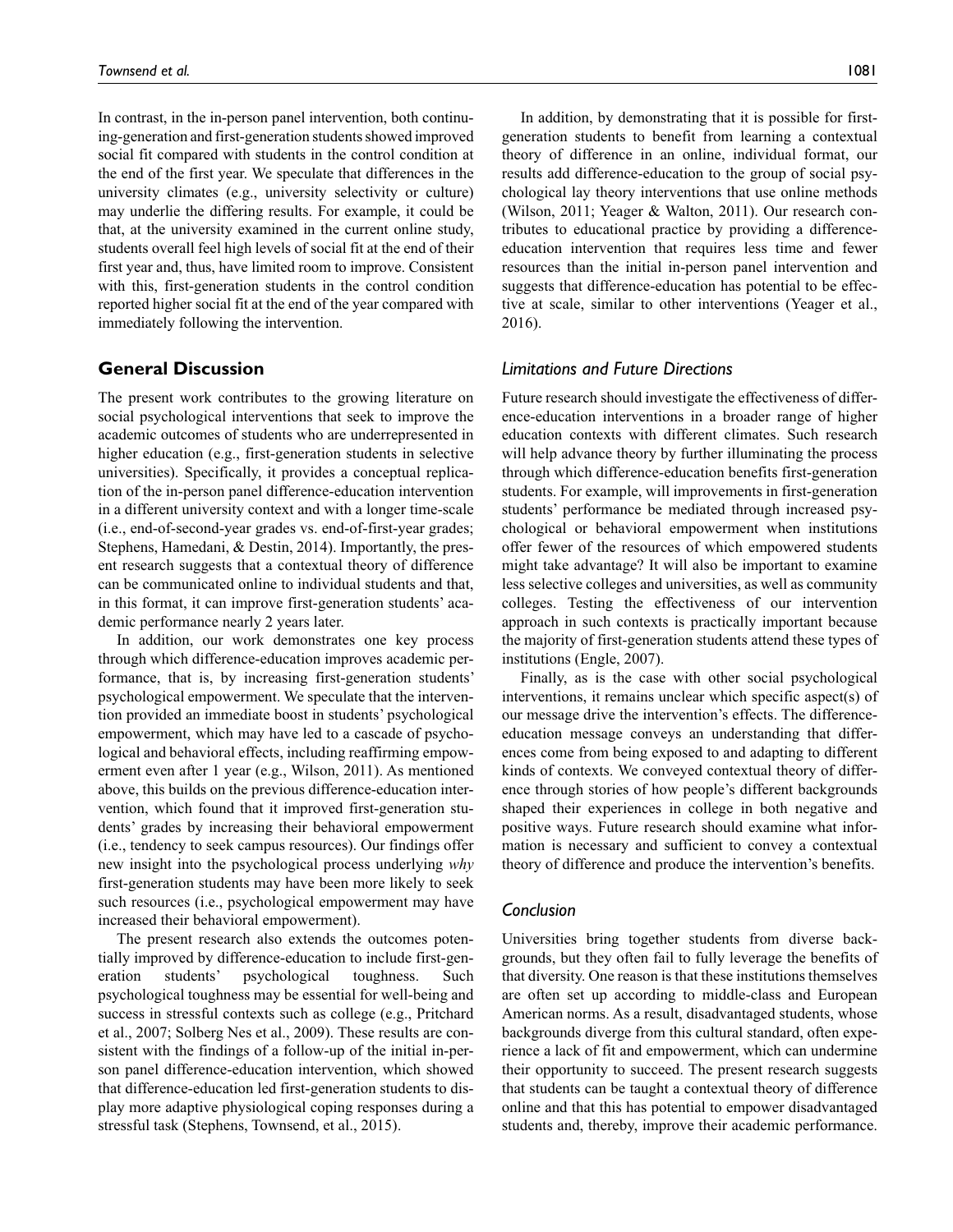In contrast, in the in-person panel intervention, both continuing-generation and first-generation students showed improved social fit compared with students in the control condition at the end of the first year. We speculate that differences in the university climates (e.g., university selectivity or culture) may underlie the differing results. For example, it could be that, at the university examined in the current online study, students overall feel high levels of social fit at the end of their first year and, thus, have limited room to improve. Consistent with this, first-generation students in the control condition reported higher social fit at the end of the year compared with immediately following the intervention.

## **General Discussion**

The present work contributes to the growing literature on social psychological interventions that seek to improve the academic outcomes of students who are underrepresented in higher education (e.g., first-generation students in selective universities). Specifically, it provides a conceptual replication of the in-person panel difference-education intervention in a different university context and with a longer time-scale (i.e., end-of-second-year grades vs. end-of-first-year grades; Stephens, Hamedani, & Destin, 2014). Importantly, the present research suggests that a contextual theory of difference can be communicated online to individual students and that, in this format, it can improve first-generation students' academic performance nearly 2 years later.

In addition, our work demonstrates one key process through which difference-education improves academic performance, that is, by increasing first-generation students' psychological empowerment. We speculate that the intervention provided an immediate boost in students' psychological empowerment, which may have led to a cascade of psychological and behavioral effects, including reaffirming empowerment even after 1 year (e.g., Wilson, 2011). As mentioned above, this builds on the previous difference-education intervention, which found that it improved first-generation students' grades by increasing their behavioral empowerment (i.e., tendency to seek campus resources). Our findings offer new insight into the psychological process underlying *why* first-generation students may have been more likely to seek such resources (i.e., psychological empowerment may have increased their behavioral empowerment).

The present research also extends the outcomes potentially improved by difference-education to include first-generation students' psychological toughness. Such psychological toughness may be essential for well-being and success in stressful contexts such as college (e.g., Pritchard et al., 2007; Solberg Nes et al., 2009). These results are consistent with the findings of a follow-up of the initial in-person panel difference-education intervention, which showed that difference-education led first-generation students to display more adaptive physiological coping responses during a stressful task (Stephens, Townsend, et al., 2015).

In addition, by demonstrating that it is possible for firstgeneration students to benefit from learning a contextual theory of difference in an online, individual format, our results add difference-education to the group of social psychological lay theory interventions that use online methods (Wilson, 2011; Yeager & Walton, 2011). Our research contributes to educational practice by providing a differenceeducation intervention that requires less time and fewer resources than the initial in-person panel intervention and suggests that difference-education has potential to be effective at scale, similar to other interventions (Yeager et al., 2016).

## *Limitations and Future Directions*

Future research should investigate the effectiveness of difference-education interventions in a broader range of higher education contexts with different climates. Such research will help advance theory by further illuminating the process through which difference-education benefits first-generation students. For example, will improvements in first-generation students' performance be mediated through increased psychological or behavioral empowerment when institutions offer fewer of the resources of which empowered students might take advantage? It will also be important to examine less selective colleges and universities, as well as community colleges. Testing the effectiveness of our intervention approach in such contexts is practically important because the majority of first-generation students attend these types of institutions (Engle, 2007).

Finally, as is the case with other social psychological interventions, it remains unclear which specific aspect(s) of our message drive the intervention's effects. The differenceeducation message conveys an understanding that differences come from being exposed to and adapting to different kinds of contexts. We conveyed contextual theory of difference through stories of how people's different backgrounds shaped their experiences in college in both negative and positive ways. Future research should examine what information is necessary and sufficient to convey a contextual theory of difference and produce the intervention's benefits.

## *Conclusion*

Universities bring together students from diverse backgrounds, but they often fail to fully leverage the benefits of that diversity. One reason is that these institutions themselves are often set up according to middle-class and European American norms. As a result, disadvantaged students, whose backgrounds diverge from this cultural standard, often experience a lack of fit and empowerment, which can undermine their opportunity to succeed. The present research suggests that students can be taught a contextual theory of difference online and that this has potential to empower disadvantaged students and, thereby, improve their academic performance.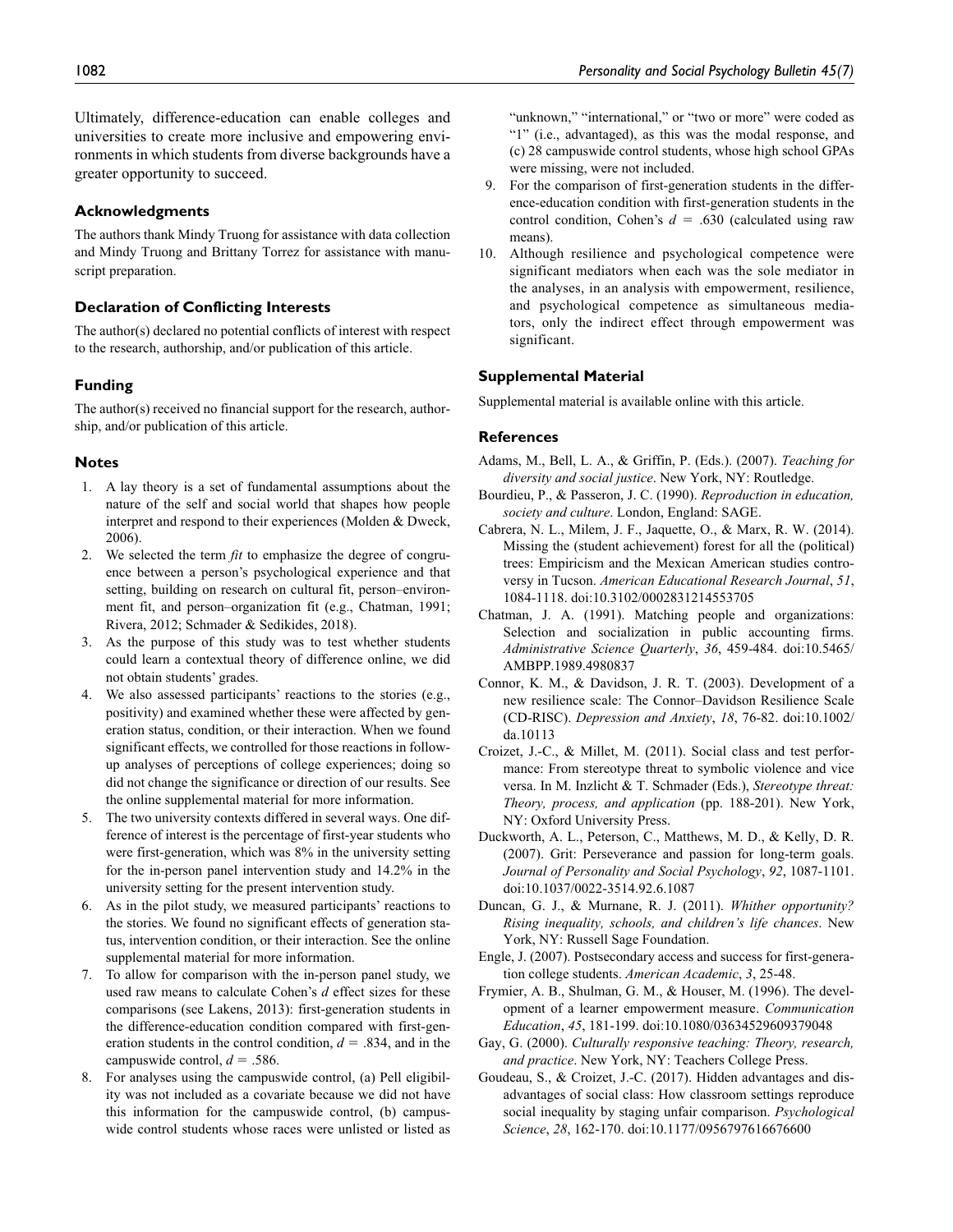Ultimately, difference-education can enable colleges and universities to create more inclusive and empowering environments in which students from diverse backgrounds have a greater opportunity to succeed.

#### **Acknowledgments**

The authors thank Mindy Truong for assistance with data collection and Mindy Truong and Brittany Torrez for assistance with manuscript preparation.

## **Declaration of Conflicting Interests**

The author(s) declared no potential conflicts of interest with respect to the research, authorship, and/or publication of this article.

#### **Funding**

The author(s) received no financial support for the research, authorship, and/or publication of this article.

#### **Notes**

- 1. A lay theory is a set of fundamental assumptions about the nature of the self and social world that shapes how people interpret and respond to their experiences (Molden & Dweck, 2006).
- 2. We selected the term *fit* to emphasize the degree of congruence between a person's psychological experience and that setting, building on research on cultural fit, person–environment fit, and person–organization fit (e.g., Chatman, 1991; Rivera, 2012; Schmader & Sedikides, 2018).
- 3. As the purpose of this study was to test whether students could learn a contextual theory of difference online, we did not obtain students' grades.
- 4. We also assessed participants' reactions to the stories (e.g., positivity) and examined whether these were affected by generation status, condition, or their interaction. When we found significant effects, we controlled for those reactions in followup analyses of perceptions of college experiences; doing so did not change the significance or direction of our results. See the online supplemental material for more information.
- 5. The two university contexts differed in several ways. One difference of interest is the percentage of first-year students who were first-generation, which was 8% in the university setting for the in-person panel intervention study and 14.2% in the university setting for the present intervention study.
- 6. As in the pilot study, we measured participants' reactions to the stories. We found no significant effects of generation status, intervention condition, or their interaction. See the online supplemental material for more information.
- 7. To allow for comparison with the in-person panel study, we used raw means to calculate Cohen's *d* effect sizes for these comparisons (see Lakens, 2013): first-generation students in the difference-education condition compared with first-generation students in the control condition,  $d = 0.834$ , and in the campuswide control,  $d = .586$ .
- 8. For analyses using the campuswide control, (a) Pell eligibility was not included as a covariate because we did not have this information for the campuswide control, (b) campuswide control students whose races were unlisted or listed as

"unknown," "international," or "two or more" were coded as "1" (i.e., advantaged), as this was the modal response, and (c) 28 campuswide control students, whose high school GPAs were missing, were not included.

- 9. For the comparison of first-generation students in the difference-education condition with first-generation students in the control condition, Cohen's  $d = .630$  (calculated using raw means).
- 10. Although resilience and psychological competence were significant mediators when each was the sole mediator in the analyses, in an analysis with empowerment, resilience, and psychological competence as simultaneous mediators, only the indirect effect through empowerment was significant.

#### **Supplemental Material**

Supplemental material is available online with this article.

#### **References**

- Adams, M., Bell, L. A., & Griffin, P. (Eds.). (2007). *Teaching for diversity and social justice*. New York, NY: Routledge.
- Bourdieu, P., & Passeron, J. C. (1990). *Reproduction in education, society and culture*. London, England: SAGE.
- Cabrera, N. L., Milem, J. F., Jaquette, O., & Marx, R. W. (2014). Missing the (student achievement) forest for all the (political) trees: Empiricism and the Mexican American studies controversy in Tucson. *American Educational Research Journal*, *51*, 1084-1118. doi:10.3102/0002831214553705
- Chatman, J. A. (1991). Matching people and organizations: Selection and socialization in public accounting firms. *Administrative Science Quarterly*, *36*, 459-484. doi:10.5465/ AMBPP.1989.4980837
- Connor, K. M., & Davidson, J. R. T. (2003). Development of a new resilience scale: The Connor–Davidson Resilience Scale (CD-RISC). *Depression and Anxiety*, *18*, 76-82. doi:10.1002/ da.10113
- Croizet, J.-C., & Millet, M. (2011). Social class and test performance: From stereotype threat to symbolic violence and vice versa. In M. Inzlicht & T. Schmader (Eds.), *Stereotype threat: Theory, process, and application* (pp. 188-201). New York, NY: Oxford University Press.
- Duckworth, A. L., Peterson, C., Matthews, M. D., & Kelly, D. R. (2007). Grit: Perseverance and passion for long-term goals. *Journal of Personality and Social Psychology*, *92*, 1087-1101. doi:10.1037/0022-3514.92.6.1087
- Duncan, G. J., & Murnane, R. J. (2011). *Whither opportunity? Rising inequality, schools, and children's life chances*. New York, NY: Russell Sage Foundation.
- Engle, J. (2007). Postsecondary access and success for first-generation college students. *American Academic*, *3*, 25-48.
- Frymier, A. B., Shulman, G. M., & Houser, M. (1996). The development of a learner empowerment measure. *Communication Education*, *45*, 181-199. doi:10.1080/03634529609379048
- Gay, G. (2000). *Culturally responsive teaching: Theory, research, and practice*. New York, NY: Teachers College Press.
- Goudeau, S., & Croizet, J.-C. (2017). Hidden advantages and disadvantages of social class: How classroom settings reproduce social inequality by staging unfair comparison. *Psychological Science*, *28*, 162-170. doi:10.1177/0956797616676600